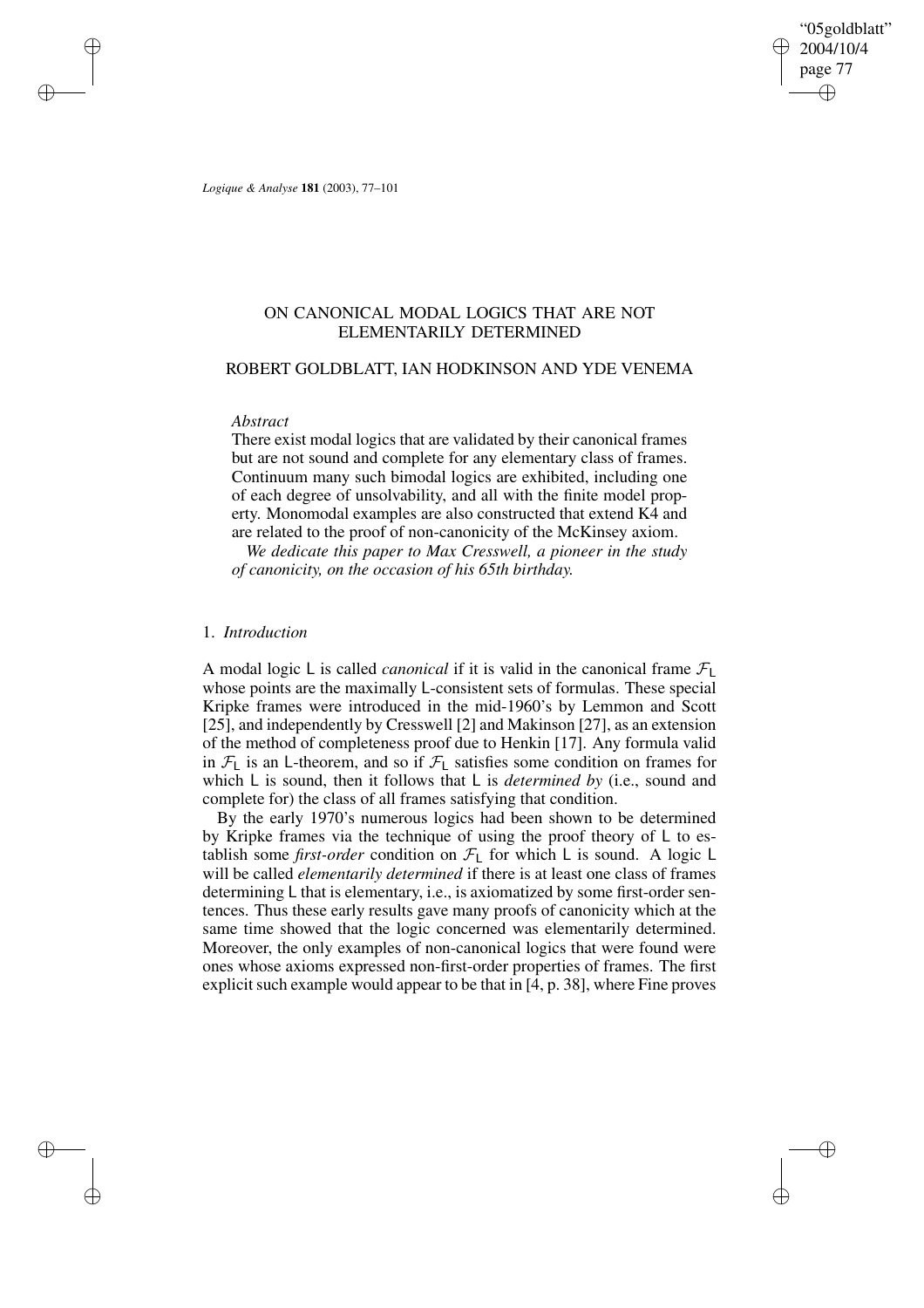"05goldblatt" 2004/10/4 page 77 ✐ ✐

✐

✐

*Logique & Analyse* **181** (2003), 77–101

 $\rightarrow$ 

 $\rightarrow$ 

✐

✐

# ON CANONICAL MODAL LOGICS THAT ARE NOT ELEMENTARILY DETERMINED

# ROBERT GOLDBLATT, IAN HODKINSON AND YDE VENEMA

## *Abstract*

There exist modal logics that are validated by their canonical frames but are not sound and complete for any elementary class of frames. Continuum many such bimodal logics are exhibited, including one of each degree of unsolvability, and all with the finite model property. Monomodal examples are also constructed that extend K4 and are related to the proof of non-canonicity of the McKinsey axiom.

*We dedicate this paper to Max Cresswell, a pioneer in the study of canonicity, on the occasion of his 65th birthday.*

## 1. *Introduction*

A modal logic L is called *canonical* if it is valid in the canonical frame  $\mathcal{F}_L$ whose points are the maximally L-consistent sets of formulas. These special Kripke frames were introduced in the mid-1960's by Lemmon and Scott [25], and independently by Cresswell [2] and Makinson [27], as an extension of the method of completeness proof due to Henkin [17]. Any formula valid in  $\mathcal{F}_1$  is an L-theorem, and so if  $\mathcal{F}_1$  satisfies some condition on frames for which L is sound, then it follows that L is *determined by* (i.e., sound and complete for) the class of all frames satisfying that condition.

By the early 1970's numerous logics had been shown to be determined by Kripke frames via the technique of using the proof theory of L to establish some *first-order* condition on  $\mathcal{F}_L$  for which L is sound. A logic L will be called *elementarily determined* if there is at least one class of frames determining L that is elementary, i.e., is axiomatized by some first-order sentences. Thus these early results gave many proofs of canonicity which at the same time showed that the logic concerned was elementarily determined. Moreover, the only examples of non-canonical logics that were found were ones whose axioms expressed non-first-order properties of frames. The first explicit such example would appear to be that in  $[4, p. 38]$ , where Fine proves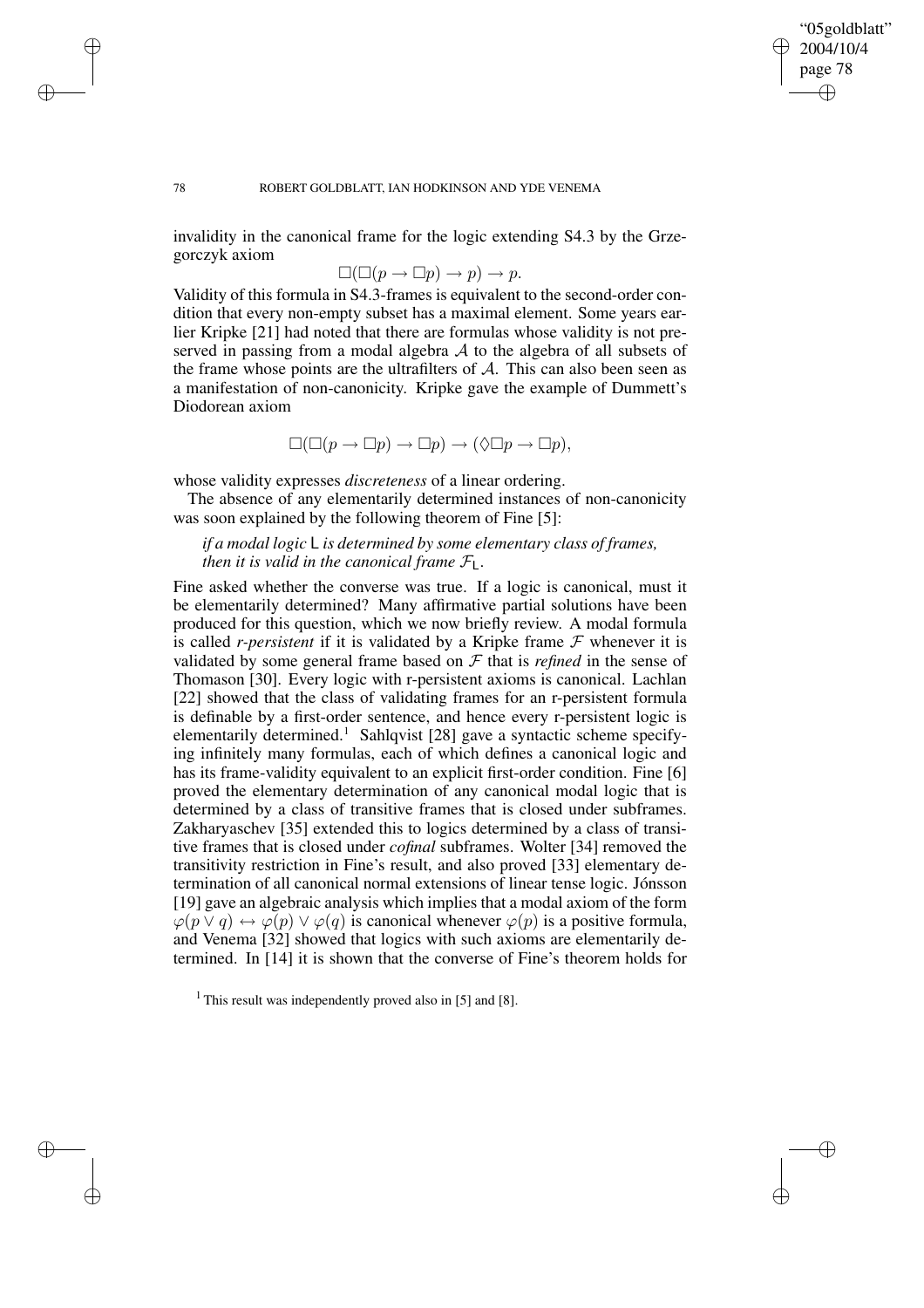## "05goldblatt" 2004/10/4 page 78 ✐ ✐

✐

✐

#### 78 ROBERT GOLDBLATT, IAN HODKINSON AND YDE VENEMA

invalidity in the canonical frame for the logic extending S4.3 by the Grzegorczyk axiom

$$
\Box(\Box(p \to \Box p) \to p) \to p.
$$

Validity of this formula in S4.3-frames is equivalent to the second-order condition that every non-empty subset has a maximal element. Some years earlier Kripke [21] had noted that there are formulas whose validity is not preserved in passing from a modal algebra  $A$  to the algebra of all subsets of the frame whose points are the ultrafilters of  $A$ . This can also been seen as a manifestation of non-canonicity. Kripke gave the example of Dummett's Diodorean axiom

$$
\Box(\Box(p \to \Box p) \to \Box p) \to (\Diamond \Box p \to \Box p),
$$

whose validity expresses *discreteness* of a linear ordering.

The absence of any elementarily determined instances of non-canonicity was soon explained by the following theorem of Fine [5]:

*if a modal logic* L *is determined by some elementary class of frames, then it is valid in the canonical frame*  $\mathcal{F}_L$ *.* 

Fine asked whether the converse was true. If a logic is canonical, must it be elementarily determined? Many affirmative partial solutions have been produced for this question, which we now briefly review. A modal formula is called *r-persistent* if it is validated by a Kripke frame  $F$  whenever it is validated by some general frame based on  $\mathcal F$  that is *refined* in the sense of Thomason [30]. Every logic with r-persistent axioms is canonical. Lachlan [22] showed that the class of validating frames for an r-persistent formula is definable by a first-order sentence, and hence every r-persistent logic is elementarily determined.<sup>1</sup> Sahlqvist [28] gave a syntactic scheme specifying infinitely many formulas, each of which defines a canonical logic and has its frame-validity equivalent to an explicit first-order condition. Fine [6] proved the elementary determination of any canonical modal logic that is determined by a class of transitive frames that is closed under subframes. Zakharyaschev [35] extended this to logics determined by a class of transitive frames that is closed under *cofinal* subframes. Wolter [34] removed the transitivity restriction in Fine's result, and also proved [33] elementary determination of all canonical normal extensions of linear tense logic. Jónsson [19] gave an algebraic analysis which implies that a modal axiom of the form  $\varphi(p \lor q) \leftrightarrow \varphi(p) \lor \varphi(q)$  is canonical whenever  $\varphi(p)$  is a positive formula, and Venema [32] showed that logics with such axioms are elementarily determined. In [14] it is shown that the converse of Fine's theorem holds for

 $\rightarrow$ 

 $\rightarrow$ 

✐

<sup>&</sup>lt;sup>1</sup> This result was independently proved also in [5] and [8].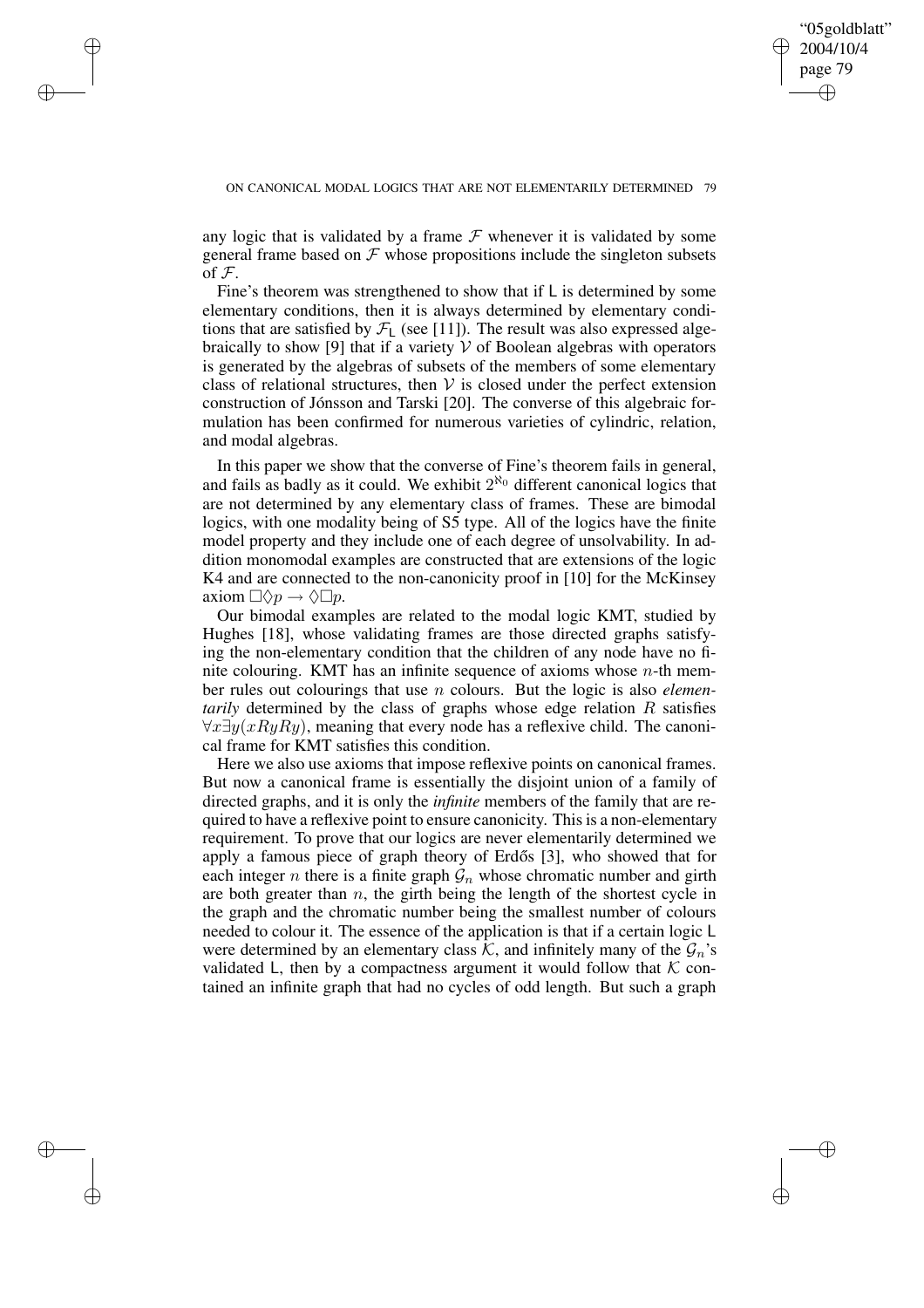✐

#### ON CANONICAL MODAL LOGICS THAT ARE NOT ELEMENTARILY DETERMINED 79

 $\rightarrow$ 

 $\rightarrow$ 

✐

✐

any logic that is validated by a frame  $F$  whenever it is validated by some general frame based on  $\mathcal F$  whose propositions include the singleton subsets of  $\mathcal F$ .

Fine's theorem was strengthened to show that if L is determined by some elementary conditions, then it is always determined by elementary conditions that are satisfied by  $\mathcal{F}_{\text{L}}$  (see [11]). The result was also expressed algebraically to show [9] that if a variety  $V$  of Boolean algebras with operators is generated by the algebras of subsets of the members of some elementary class of relational structures, then  $V$  is closed under the perfect extension construction of Jónsson and Tarski [20]. The converse of this algebraic formulation has been confirmed for numerous varieties of cylindric, relation, and modal algebras.

In this paper we show that the converse of Fine's theorem fails in general, and fails as badly as it could. We exhibit  $2^{\aleph_0}$  different canonical logics that are not determined by any elementary class of frames. These are bimodal logics, with one modality being of S5 type. All of the logics have the finite model property and they include one of each degree of unsolvability. In addition monomodal examples are constructed that are extensions of the logic K4 and are connected to the non-canonicity proof in [10] for the McKinsey axiom  $\Box \Diamond p \rightarrow \Diamond \Box p$ .

Our bimodal examples are related to the modal logic KMT, studied by Hughes [18], whose validating frames are those directed graphs satisfying the non-elementary condition that the children of any node have no finite colouring. KMT has an infinite sequence of axioms whose  $n$ -th member rules out colourings that use n colours. But the logic is also *elementarily* determined by the class of graphs whose edge relation R satisfies  $\forall x \exists y (xRuRy)$ , meaning that every node has a reflexive child. The canonical frame for KMT satisfies this condition.

Here we also use axioms that impose reflexive points on canonical frames. But now a canonical frame is essentially the disjoint union of a family of directed graphs, and it is only the *infinite* members of the family that are required to have a reflexive point to ensure canonicity. This is a non-elementary requirement. To prove that our logics are never elementarily determined we apply a famous piece of graph theory of Erdős [3], who showed that for each integer *n* there is a finite graph  $\mathcal{G}_n$  whose chromatic number and girth are both greater than  $n$ , the girth being the length of the shortest cycle in the graph and the chromatic number being the smallest number of colours needed to colour it. The essence of the application is that if a certain logic L were determined by an elementary class K, and infinitely many of the  $\mathcal{G}_n$ 's validated L, then by a compactness argument it would follow that  $K$  contained an infinite graph that had no cycles of odd length. But such a graph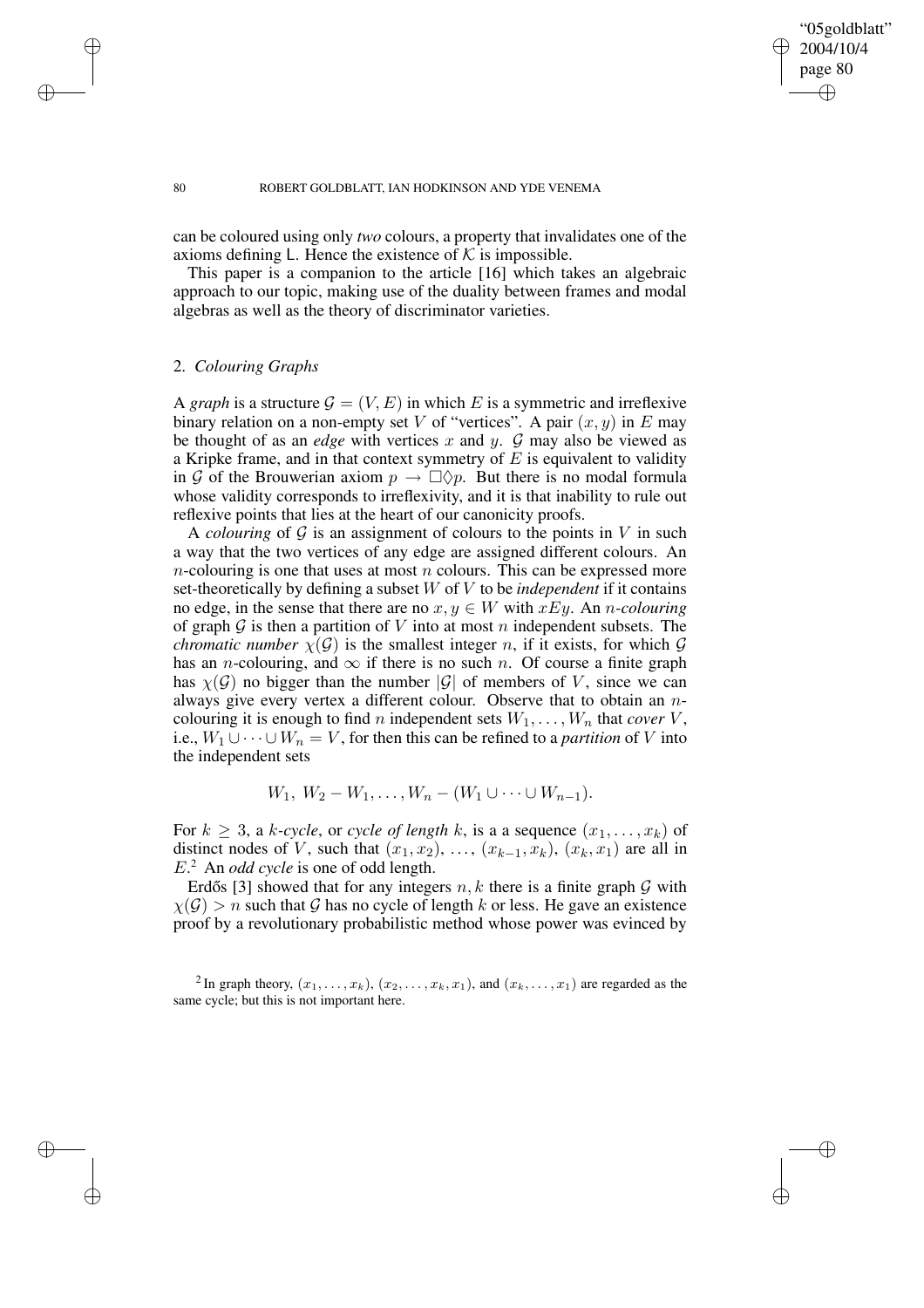# "05goldblatt" 2004/10/4 page 80 ✐ ✐

✐

✐

#### 80 ROBERT GOLDBLATT, IAN HODKINSON AND YDE VENEMA

can be coloured using only *two* colours, a property that invalidates one of the axioms defining L. Hence the existence of  $K$  is impossible.

This paper is a companion to the article [16] which takes an algebraic approach to our topic, making use of the duality between frames and modal algebras as well as the theory of discriminator varieties.

# 2. *Colouring Graphs*

A *graph* is a structure  $\mathcal{G} = (V, E)$  in which E is a symmetric and irreflexive binary relation on a non-empty set V of "vertices". A pair  $(x, y)$  in E may be thought of as an *edge* with vertices x and y.  $\mathcal G$  may also be viewed as a Kripke frame, and in that context symmetry of  $E$  is equivalent to validity in G of the Brouwerian axiom  $p \to \Box \Diamond p$ . But there is no modal formula whose validity corresponds to irreflexivity, and it is that inability to rule out reflexive points that lies at the heart of our canonicity proofs.

A *colouring* of  $G$  is an assignment of colours to the points in  $V$  in such a way that the two vertices of any edge are assigned different colours. An *n*-colouring is one that uses at most *n* colours. This can be expressed more set-theoretically by defining a subset W of V to be *independent* if it contains no edge, in the sense that there are no  $x, y \in W$  with  $xEy$ . An *n*-colouring of graph  $G$  is then a partition of V into at most n independent subsets. The *chromatic number*  $\chi(\mathcal{G})$  is the smallest integer n, if it exists, for which  $\mathcal G$ has an *n*-colouring, and  $\infty$  if there is no such *n*. Of course a finite graph has  $\chi(\mathcal{G})$  no bigger than the number  $|\mathcal{G}|$  of members of V, since we can always give every vertex a different colour. Observe that to obtain an ncolouring it is enough to find n independent sets  $W_1, \ldots, W_n$  that *cover* V, i.e.,  $W_1 \cup \cdots \cup W_n = V$ , for then this can be refined to a *partition* of V into the independent sets

$$
W_1, W_2 - W_1, \ldots, W_n - (W_1 \cup \cdots \cup W_{n-1}).
$$

For  $k \geq 3$ , a k-cycle, or cycle of length k, is a a sequence  $(x_1, \ldots, x_k)$  of distinct nodes of V, such that  $(x_1, x_2), \ldots, (x_{k-1}, x_k), (x_k, x_1)$  are all in E. <sup>2</sup> An *odd cycle* is one of odd length.

Erdős [3] showed that for any integers  $n, k$  there is a finite graph  $G$  with  $\chi(\mathcal{G}) > n$  such that G has no cycle of length k or less. He gave an existence proof by a revolutionary probabilistic method whose power was evinced by

<sup>2</sup> In graph theory,  $(x_1, \ldots, x_k)$ ,  $(x_2, \ldots, x_k, x_1)$ , and  $(x_k, \ldots, x_1)$  are regarded as the same cycle; but this is not important here.

 $\rightarrow$ 

 $\rightarrow$ 

✐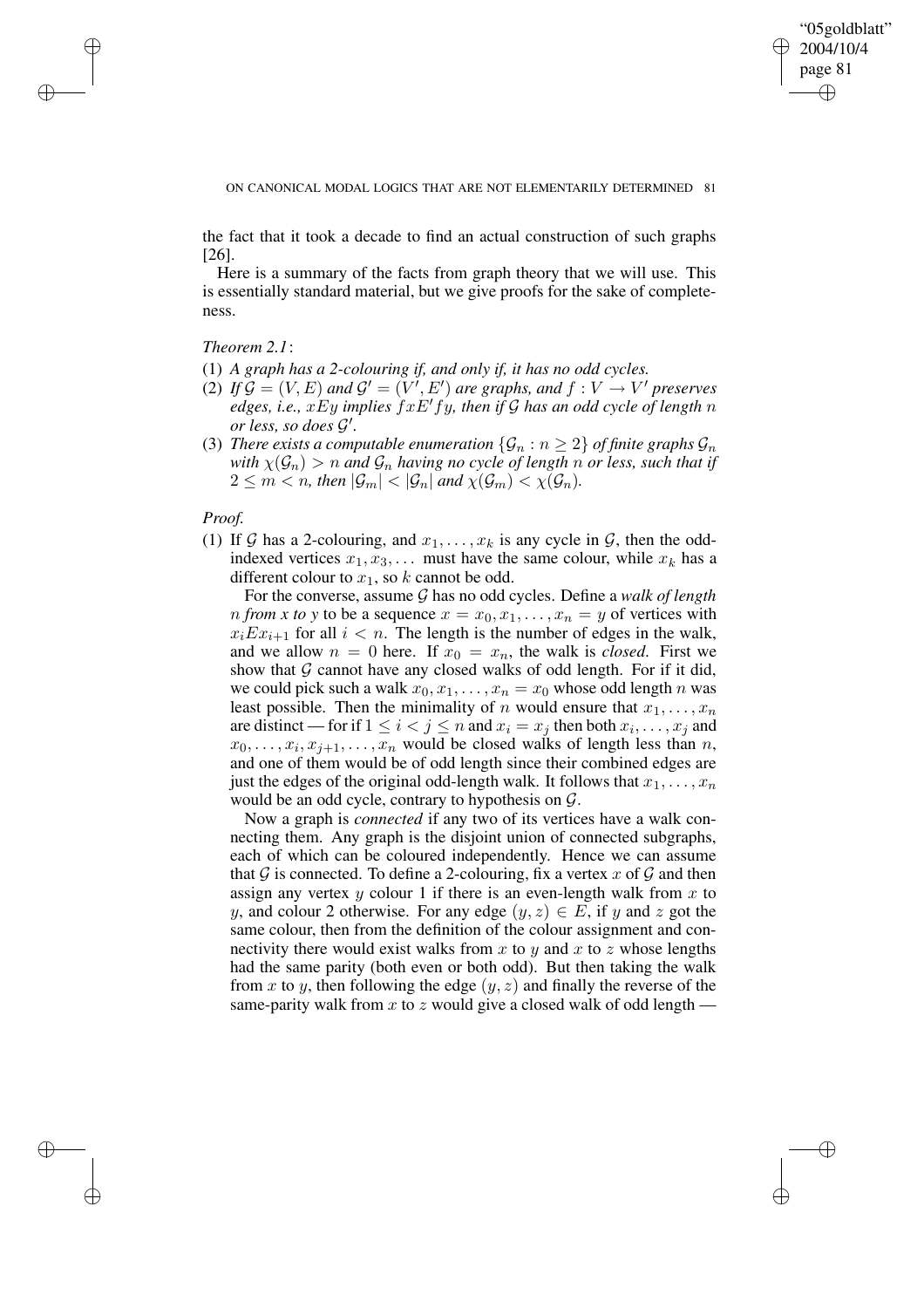✐

ON CANONICAL MODAL LOGICS THAT ARE NOT ELEMENTARILY DETERMINED 81

the fact that it took a decade to find an actual construction of such graphs [26].

Here is a summary of the facts from graph theory that we will use. This is essentially standard material, but we give proofs for the sake of completeness.

*Theorem 2.1*:

 $\rightarrow$ 

 $\rightarrow$ 

✐

✐

- (1) *A graph has a 2-colouring if, and only if, it has no odd cycles.*
- (2) If  $\mathcal{G} = (V, E)$  and  $\mathcal{G}' = (V', E')$  are graphs, and  $f : V \to V'$  preserves *edges, i.e.,*  $xEy$  *implies*  $fxE'fy$ *, then if* G *has an odd cycle of length n or less, so does* G 0 *.*
- (3) *There exists a computable enumeration*  $\{\mathcal{G}_n : n \geq 2\}$  *of finite graphs*  $\mathcal{G}_n$ *with*  $\chi(\mathcal{G}_n) > n$  *and*  $\mathcal{G}_n$  *having no cycle of length n or less, such that if*  $2 \leq m < n$ , then  $|\mathcal{G}_m| < |\mathcal{G}_n|$  and  $\chi(\mathcal{G}_m) < \chi(\mathcal{G}_n)$ .

# *Proof.*

(1) If G has a 2-colouring, and  $x_1, \ldots, x_k$  is any cycle in G, then the oddindexed vertices  $x_1, x_3, \ldots$  must have the same colour, while  $x_k$  has a different colour to  $x_1$ , so k cannot be odd.

For the converse, assume G has no odd cycles. Define a *walk of length n from x to y* to be a sequence  $x = x_0, x_1, \ldots, x_n = y$  of vertices with  $x_i Ex_{i+1}$  for all  $i < n$ . The length is the number of edges in the walk, and we allow  $n = 0$  here. If  $x_0 = x_n$ , the walk is *closed*. First we show that  $G$  cannot have any closed walks of odd length. For if it did, we could pick such a walk  $x_0, x_1, \ldots, x_n = x_0$  whose odd length n was least possible. Then the minimality of n would ensure that  $x_1, \ldots, x_n$ are distinct — for if  $1 \leq i < j \leq n$  and  $x_i = x_j$  then both  $x_i, \ldots, x_j$  and  $x_0, \ldots, x_i, x_{j+1}, \ldots, x_n$  would be closed walks of length less than n, and one of them would be of odd length since their combined edges are just the edges of the original odd-length walk. It follows that  $x_1, \ldots, x_n$ would be an odd cycle, contrary to hypothesis on  $\mathcal{G}$ .

Now a graph is *connected* if any two of its vertices have a walk connecting them. Any graph is the disjoint union of connected subgraphs, each of which can be coloured independently. Hence we can assume that G is connected. To define a 2-colouring, fix a vertex x of G and then assign any vertex  $y$  colour 1 if there is an even-length walk from  $x$  to y, and colour 2 otherwise. For any edge  $(y, z) \in E$ , if y and z got the same colour, then from the definition of the colour assignment and connectivity there would exist walks from x to y and x to z whose lengths had the same parity (both even or both odd). But then taking the walk from x to y, then following the edge  $(y, z)$  and finally the reverse of the same-parity walk from x to z would give a closed walk of odd length  $-$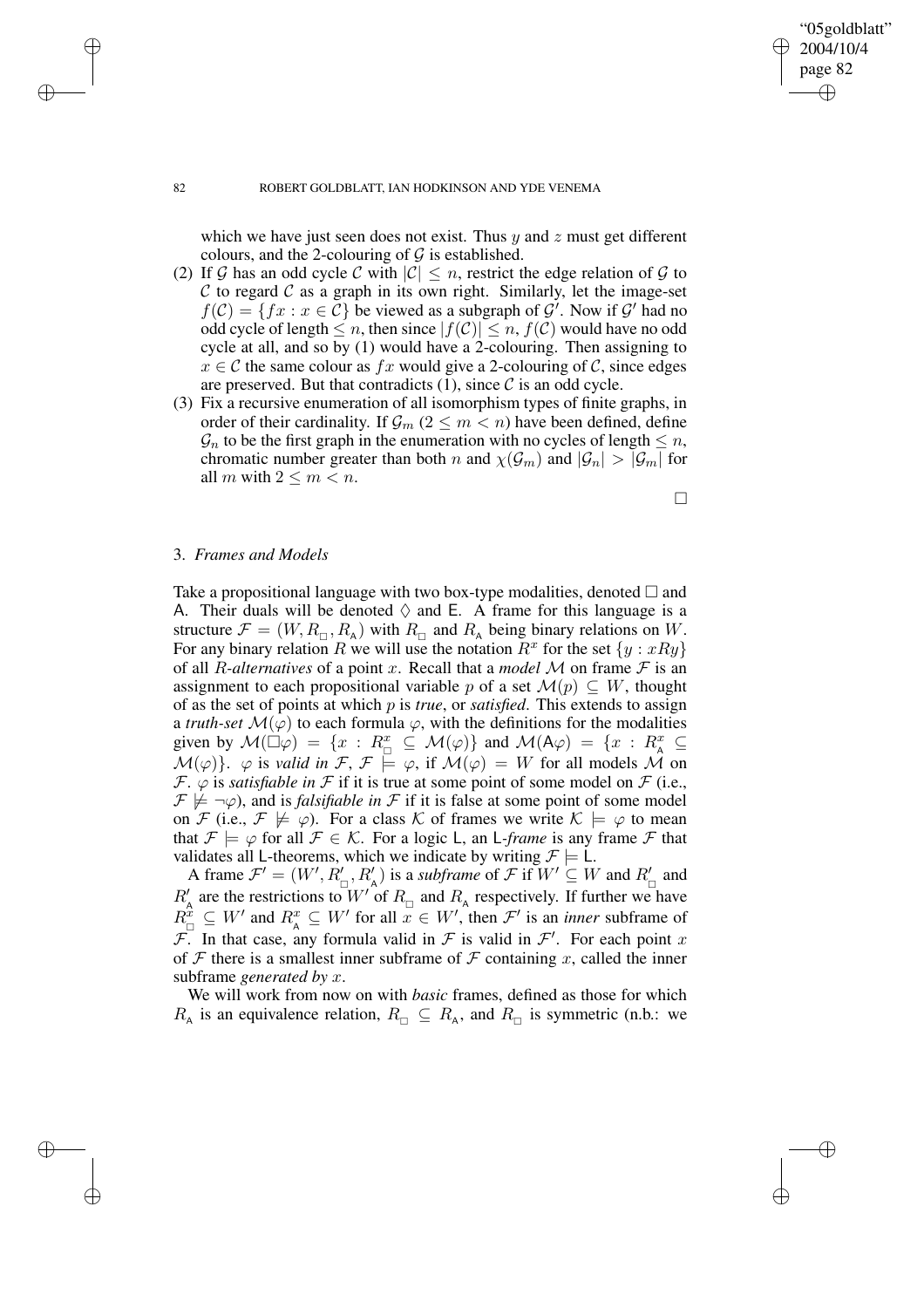which we have just seen does not exist. Thus  $y$  and  $z$  must get different colours, and the 2-colouring of  $G$  is established.

- (2) If G has an odd cycle C with  $|C| \le n$ , restrict the edge relation of G to C to regard C as a graph in its own right. Similarly, let the image-set  $f(\mathcal{C}) = \{ fx : x \in \mathcal{C} \}$  be viewed as a subgraph of  $\mathcal{G}'$ . Now if  $\mathcal{G}'$  had no odd cycle of length  $\leq n$ , then since  $|f(\mathcal{C})| \leq n$ ,  $f(\mathcal{C})$  would have no odd cycle at all, and so by (1) would have a 2-colouring. Then assigning to  $x \in \mathcal{C}$  the same colour as fx would give a 2-colouring of  $\mathcal{C}$ , since edges are preserved. But that contradicts  $(1)$ , since  $\mathcal C$  is an odd cycle.
- (3) Fix a recursive enumeration of all isomorphism types of finite graphs, in order of their cardinality. If  $\mathcal{G}_m$  ( $2 \leq m < n$ ) have been defined, define  $\mathcal{G}_n$  to be the first graph in the enumeration with no cycles of length  $\leq n$ , chromatic number greater than both n and  $\chi(\mathcal{G}_m)$  and  $|\mathcal{G}_n| > |\mathcal{G}_m|$  for all m with  $2 \leq m < n$ .

 $\Box$ 

"05goldblatt" 2004/10/4 page 82

✐

✐

✐

✐

# 3. *Frames and Models*

Take a propositional language with two box-type modalities, denoted  $\Box$  and A. Their duals will be denoted  $\Diamond$  and E. A frame for this language is a structure  $\mathcal{F} = (W, R_{\Pi}, R_{\Lambda})$  with  $R_{\Pi}$  and  $R_{\Lambda}$  being binary relations on W. For any binary relation R we will use the notation  $R^x$  for the set  $\{y : xRy\}$ of all *R*-alternatives of a point x. Recall that a *model* M on frame  $F$  is an assignment to each propositional variable p of a set  $\mathcal{M}(p) \subseteq W$ , thought of as the set of points at which p is *true*, or *satisfied*. This extends to assign a *truth-set*  $\mathcal{M}(\varphi)$  to each formula  $\varphi$ , with the definitions for the modalities given by  $\mathcal{M}(\Box \varphi) = \{x : R_{\Box}^x \subseteq \mathcal{M}(\varphi)\}\$  and  $\mathcal{M}(A\varphi) = \{x : R_{A}^x \subseteq \varphi\}$  $\mathcal{M}(\varphi)$ }.  $\varphi$  is *valid in*  $\mathcal{F}, \mathcal{F} \models \varphi$ , if  $\mathcal{M}(\varphi) = W$  for all models M on  $\mathcal{F}$ .  $\varphi$  is *satisfiable in*  $\mathcal{F}$  if it is true at some point of some model on  $\mathcal{F}$  (i.e.,  $\mathcal{F} \not\models \neg \varphi$ , and is *falsifiable in*  $\mathcal{F}$  if it is false at some point of some model on F (i.e.,  $\mathcal{F} \not\models \varphi$ ). For a class K of frames we write  $\mathcal{K} \models \varphi$  to mean that  $\mathcal{F} \models \varphi$  for all  $\mathcal{F} \in \mathcal{K}$ . For a logic L, an L-frame is any frame  $\mathcal{F}$  that validates all L-theorems, which we indicate by writing  $\mathcal{F} \models L$ .

A frame  $\mathcal{F}' = (W', R'_{\square}, R'_A)$  is a *subframe* of  $\mathcal{F}$  if  $W' \subseteq W$  and  $R'_{\square}$  and  $R'_{\text{A}}$  are the restrictions to  $W'$  of  $R_{\text{A}}$  and  $R_{\text{A}}$  respectively. If further we have  $R_{\square}^{\hat{x}} \subseteq W'$  and  $R_{\overline{A}}^x \subseteq W'$  for all  $\overline{x} \in W'$ , then  $\mathcal{F}'$  is an *inner* subframe of  $\overline{\mathcal{F}}$ . In that case, any formula valid in  $\mathcal F$  is valid in  $\mathcal F'$ . For each point x of  $F$  there is a smallest inner subframe of  $F$  containing x, called the inner subframe *generated by* x.

We will work from now on with *basic* frames, defined as those for which  $R_{\rm A}$  is an equivalence relation,  $R_{\rm \Box} \subseteq R_{\rm A}$ , and  $R_{\rm \Box}$  is symmetric (n.b.: we

 $\rightarrow$ 

 $\rightarrow$ 

✐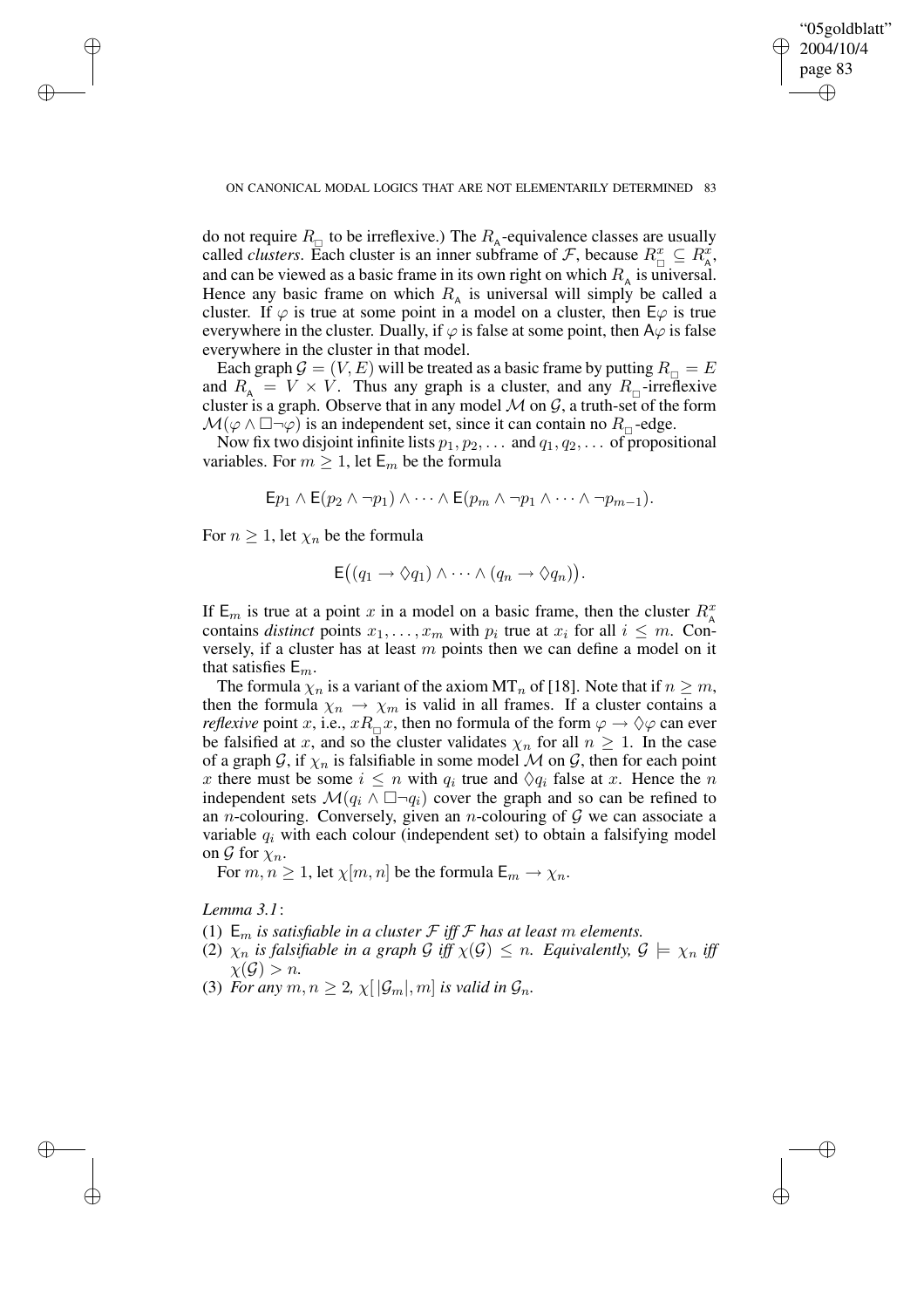✐

do not require  $R_{\Box}$  to be irreflexive.) The  $R_{A}$ -equivalence classes are usually called *clusters*. Each cluster is an inner subframe of F, because  $R_{\Box}^x \subseteq R_A^x$ , and can be viewed as a basic frame in its own right on which  $R_A$  is universal. Hence any basic frame on which  $R_A$  is universal will simply be called a cluster. If  $\varphi$  is true at some point in a model on a cluster, then  $E\varphi$  is true everywhere in the cluster. Dually, if  $\varphi$  is false at some point, then A $\varphi$  is false everywhere in the cluster in that model.

Each graph  $\mathcal{G} = (V, E)$  will be treated as a basic frame by putting  $R_{\Box} = E$ and  $R_{\rm A} = V \times V$ . Thus any graph is a cluster, and any  $R_{\rm D}$ -irreflexive cluster is a graph. Observe that in any model  $M$  on  $G$ , a truth-set of the form  $\mathcal{M}(\varphi \wedge \Box \neg \varphi)$  is an independent set, since it can contain no  $R_{\Box}$ -edge.

Now fix two disjoint infinite lists  $p_1, p_2, \ldots$  and  $q_1, q_2, \ldots$  of propositional variables. For  $m \geq 1$ , let  $E_m$  be the formula

$$
\mathsf{E} p_1 \wedge \mathsf{E} (p_2 \wedge \neg p_1) \wedge \cdots \wedge \mathsf{E} (p_m \wedge \neg p_1 \wedge \cdots \wedge \neg p_{m-1}).
$$

For  $n \geq 1$ , let  $\chi_n$  be the formula

 $\rightarrow$ 

 $\rightarrow$ 

✐

✐

$$
\mathsf{E}((q_1 \to \Diamond q_1) \land \cdots \land (q_n \to \Diamond q_n)).
$$

If  $E_m$  is true at a point x in a model on a basic frame, then the cluster  $R_{\rm A}^x$ contains *distinct* points  $x_1, \ldots, x_m$  with  $p_i$  true at  $x_i$  for all  $i \leq m$ . Conversely, if a cluster has at least  $m$  points then we can define a model on it that satisfies  $E_m$ .

The formula  $\chi_n$  is a variant of the axiom MT<sub>n</sub> of [18]. Note that if  $n \geq m$ , then the formula  $\chi_n \to \chi_m$  is valid in all frames. If a cluster contains a *reflexive* point x, i.e.,  $xR_{\Box}x$ , then no formula of the form  $\varphi \to \Diamond \varphi$  can ever be falsified at x, and so the cluster validates  $\chi_n$  for all  $n \geq 1$ . In the case of a graph G, if  $\chi_n$  is falsifiable in some model M on G, then for each point x there must be some  $i \leq n$  with  $q_i$  true and  $\Diamond q_i$  false at x. Hence the n independent sets  $\mathcal{M}(q_i \wedge \Box \neg q_i)$  cover the graph and so can be refined to an *n*-colouring. Conversely, given an *n*-colouring of  $G$  we can associate a variable  $q_i$  with each colour (independent set) to obtain a falsifying model on  $\mathcal G$  for  $\chi_n$ .

For  $m, n \geq 1$ , let  $\chi[m, n]$  be the formula  $\mathsf{E}_m \to \chi_n$ .

*Lemma 3.1*:

- (1)  $E_m$  *is satisfiable in a cluster*  $F$  *iff*  $F$  *has at least*  $m$  *elements.*
- (2)  $\chi_n$  *is falsifiable in a graph* G *iff*  $\chi$ (G)  $\leq$  *n. Equivalently,*  $\mathcal{G} \models \chi_n$  *iff*  $\chi(\mathcal{G}) > n$ .
- (3) For any  $m, n \geq 2$ ,  $\chi[|\mathcal{G}_m|, m]$  *is valid in*  $\mathcal{G}_n$ *.*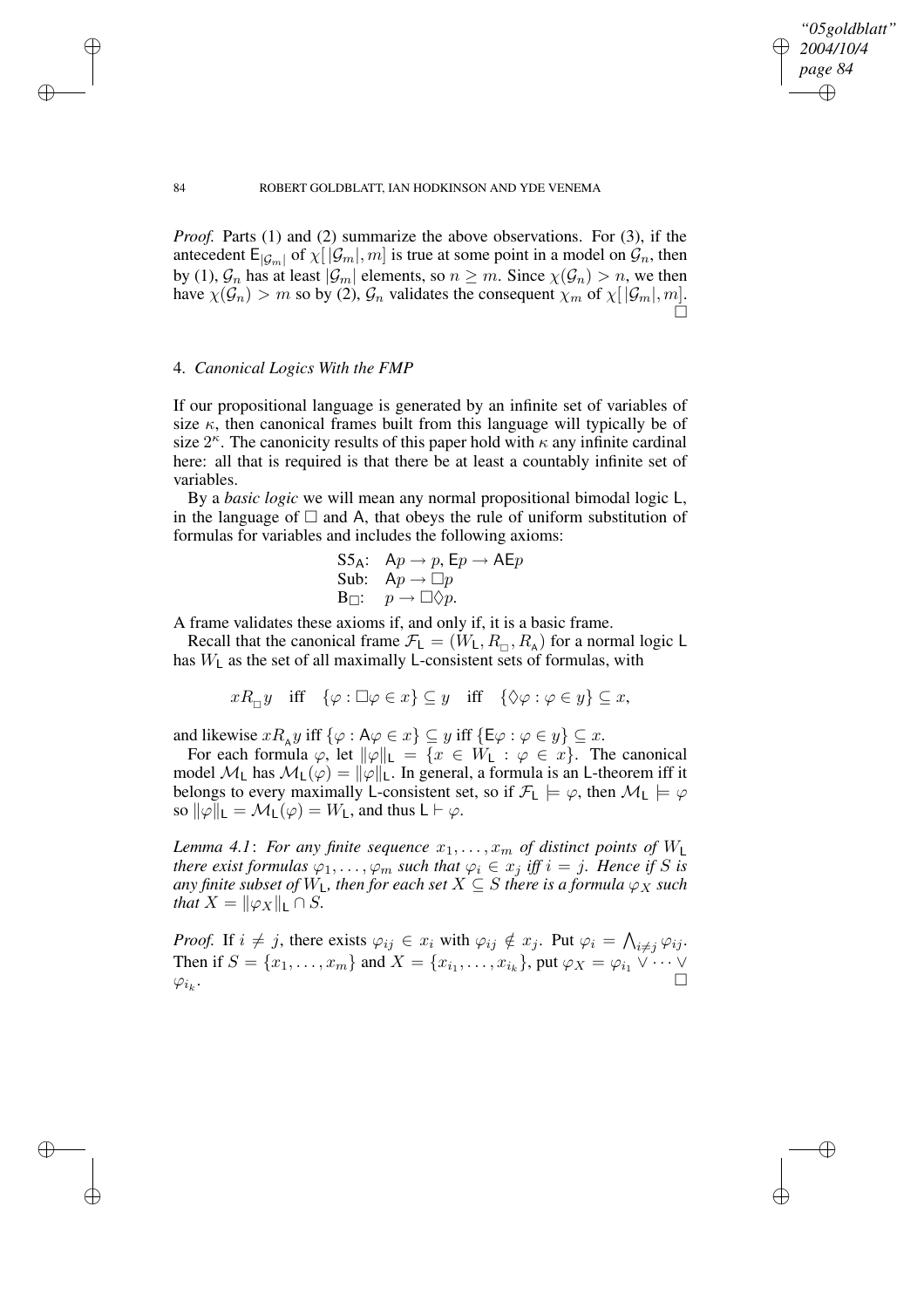✐

#### 84 ROBERT GOLDBLATT, IAN HODKINSON AND YDE VENEMA

*Proof.* Parts (1) and (2) summarize the above observations. For (3), if the antecedent  $E_{|\mathcal{G}_m|}$  of  $\chi[|\mathcal{G}_m|, m]$  is true at some point in a model on  $\mathcal{G}_n$ , then by (1),  $\mathcal{G}_n$  has at least  $|\mathcal{G}_m|$  elements, so  $n \geq m$ . Since  $\chi(\mathcal{G}_n) > n$ , we then have  $\chi(\mathcal{G}_n) > m$  so by (2),  $\mathcal{G}_n$  validates the consequent  $\chi_m$  of  $\chi[|\mathcal{G}_m|, m]$ .  $\Box$ 

# 4. *Canonical Logics With the FMP*

 $\rightarrow$ 

 $\rightarrow$ 

✐

✐

If our propositional language is generated by an infinite set of variables of size  $\kappa$ , then canonical frames built from this language will typically be of size  $2^{\kappa}$ . The canonicity results of this paper hold with  $\kappa$  any infinite cardinal here: all that is required is that there be at least a countably infinite set of variables.

By a *basic logic* we will mean any normal propositional bimodal logic L, in the language of  $\Box$  and A, that obeys the rule of uniform substitution of formulas for variables and includes the following axioms:

$$
\begin{array}{ll}\n\text{S5}_\text{A}: & \text{Ap} \rightarrow p, \text{Ep} \rightarrow \text{AE}p \\
\text{Sub:} & \text{Ap} \rightarrow \Box p \\
\text{B} \Box: & p \rightarrow \Box \Diamond p.\n\end{array}
$$

A frame validates these axioms if, and only if, it is a basic frame.

Recall that the canonical frame  $\mathcal{F}_L = (W_L, R_{\Pi}, R_A)$  for a normal logic L has  $W_L$  as the set of all maximally L-consistent sets of formulas, with

 $xR_{\Box}y$  iff  $\{\varphi : \Box \varphi \in x\} \subseteq y$  iff  $\{\Diamond \varphi : \varphi \in y\} \subseteq x$ ,

and likewise  $xR_{A}y$  iff  $\{\varphi : A\varphi \in x\} \subseteq y$  iff  $\{E\varphi : \varphi \in y\} \subseteq x$ .

For each formula  $\varphi$ , let  $\|\varphi\|_{\mathsf{L}} = \{x \in W_{\mathsf{L}} : \varphi \in x\}.$  The canonical model  $\mathcal{M}_L$  has  $\mathcal{M}_L(\varphi) = ||\varphi||_L$ . In general, a formula is an L-theorem iff it belongs to every maximally L-consistent set, so if  $\mathcal{F}_L \models \varphi$ , then  $\mathcal{M}_L \models \varphi$ so  $\|\varphi\|_{\mathsf{L}} = \mathcal{M}_{\mathsf{L}}(\varphi) = W_{\mathsf{L}}$ , and thus  $\mathsf{L} \vdash \varphi$ .

*Lemma* 4.1: For any finite sequence  $x_1, \ldots, x_m$  of distinct points of  $W_L$ *there exist formulas*  $\varphi_1, \ldots, \varphi_m$  *such that*  $\varphi_i \in x_j$  *iff*  $i = j$ *. Hence if* S *is any finite subset of*  $W_L$ *, then for each set*  $X \subseteq S$  *there is a formula*  $\varphi_X$  *such that*  $X = ||\varphi_X||_L \cap S$ .

*Proof.* If  $i \neq j$ , there exists  $\varphi_{ij} \in x_i$  with  $\varphi_{ij} \notin x_j$ . Put  $\varphi_i = \bigwedge_{i \neq j} \varphi_{ij}$ . Then if  $S = \{x_1, \ldots, x_m\}$  and  $X = \{x_{i_1}, \ldots, x_{i_k}\}$ , put  $\varphi_X = \varphi_{i_1} \vee \cdots \vee \varphi_{i_k}$  $\varphi_{i_k}$ . .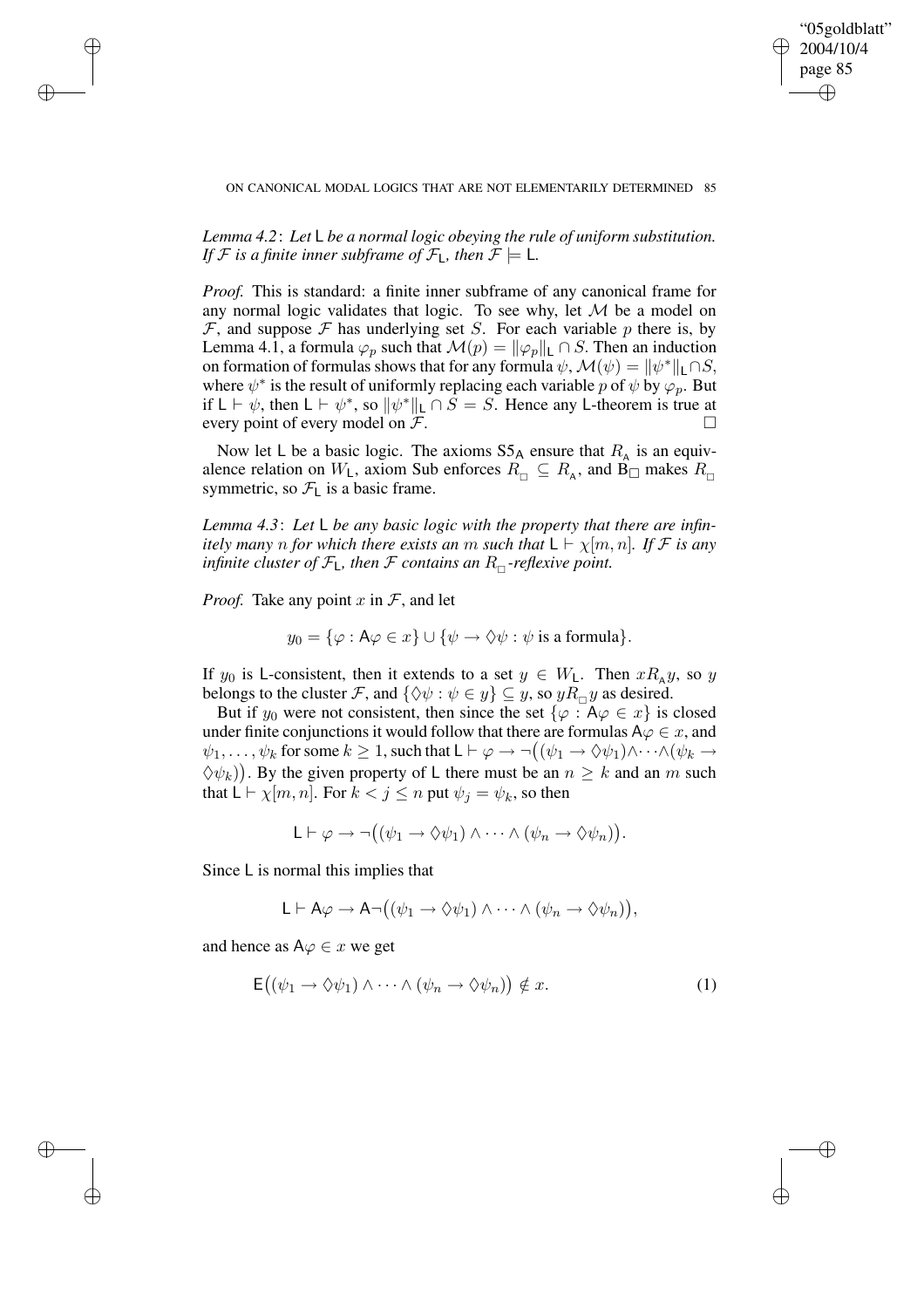✐

*Lemma 4.2*: *Let* L *be a normal logic obeying the rule of uniform substitution. If*  $F$  *is a finite inner subframe of*  $F_L$ *, then*  $F \models L$ *.* 

*Proof.* This is standard: a finite inner subframe of any canonical frame for any normal logic validates that logic. To see why, let  $M$  be a model on  $F$ , and suppose  $F$  has underlying set S. For each variable p there is, by Lemma 4.1, a formula  $\varphi_p$  such that  $\mathcal{M}(p) = ||\varphi_p||_L \cap S$ . Then an induction on formation of formulas shows that for any formula  $\psi$ ,  $\mathcal{M}(\psi) = ||\psi^*||_1 \cap S$ , where  $\psi^*$  is the result of uniformly replacing each variable p of  $\psi$  by  $\varphi_p$ . But if  $L \vdash \psi$ , then  $L \vdash \psi^*$ , so  $\|\psi^*\|_L \cap S = S$ . Hence any L-theorem is true at every point of every model on  $\mathcal{F}$ .

Now let L be a basic logic. The axioms  $S5_A$  ensure that  $R_A$  is an equivalence relation on  $W_L$ , axiom Sub enforces  $R_{\Box} \subseteq R_A$ , and B $\Box$  makes  $R_{\Box}$ symmetric, so  $\mathcal{F}_L$  is a basic frame.

*Lemma 4.3*: *Let* L *be any basic logic with the property that there are infinitely many n for which there exists an m such that*  $L \vdash \chi[m, n]$ *. If*  $\mathcal{F}$  *is any infinite cluster of*  $\mathcal{F}_L$ *, then*  $\mathcal F$  *contains an*  $R_{\Pi}$ -reflexive point.

*Proof.* Take any point  $x$  in  $\mathcal{F}$ , and let

 $\rightarrow$ 

 $\rightarrow$ 

✐

✐

$$
y_0 = \{ \varphi : A\varphi \in x \} \cup \{ \psi \to \Diamond \psi : \psi \text{ is a formula} \}.
$$

If  $y_0$  is L-consistent, then it extends to a set  $y \in W_L$ . Then  $xR_A y$ , so y belongs to the cluster F, and  $\{\Diamond \psi : \psi \in y\} \subseteq y$ , so  $yR_{\Box}y$  as desired.

But if  $y_0$  were not consistent, then since the set  $\{\varphi : A\varphi \in x\}$  is closed under finite conjunctions it would follow that there are formulas  $A\varphi\in x,$  and  $\psi_1, \ldots, \psi_k$  for some  $k \geq 1$ , such that  $\mathsf{L} \vdash \varphi \to \neg((\psi_1 \to \Diamond \psi_1) \land \cdots \land (\psi_k \to \neg((\psi_k \to \neg \psi_k) \land \cdots \land (\psi_k \to \neg \psi_k)))$  $(\forall \psi_k)$ ). By the given property of L there must be an  $n \geq k$  and an m such that  $L \vdash \chi[m, n]$ . For  $k < j \leq n$  put  $\psi_j = \psi_k$ , so then

$$
\mathsf{L}\vdash \varphi\rightarrow \neg((\psi_1\rightarrow \Diamond\psi_1)\land\dots\land(\psi_n\rightarrow \Diamond\psi_n)).
$$

Since L is normal this implies that

$$
L \vdash A\varphi \to A\neg((\psi_1 \to \Diamond \psi_1) \land \cdots \land (\psi_n \to \Diamond \psi_n)),
$$

and hence as  $A\varphi \in x$  we get

$$
\mathsf{E}\big((\psi_1 \to \Diamond \psi_1) \land \cdots \land (\psi_n \to \Diamond \psi_n)\big) \notin x. \tag{1}
$$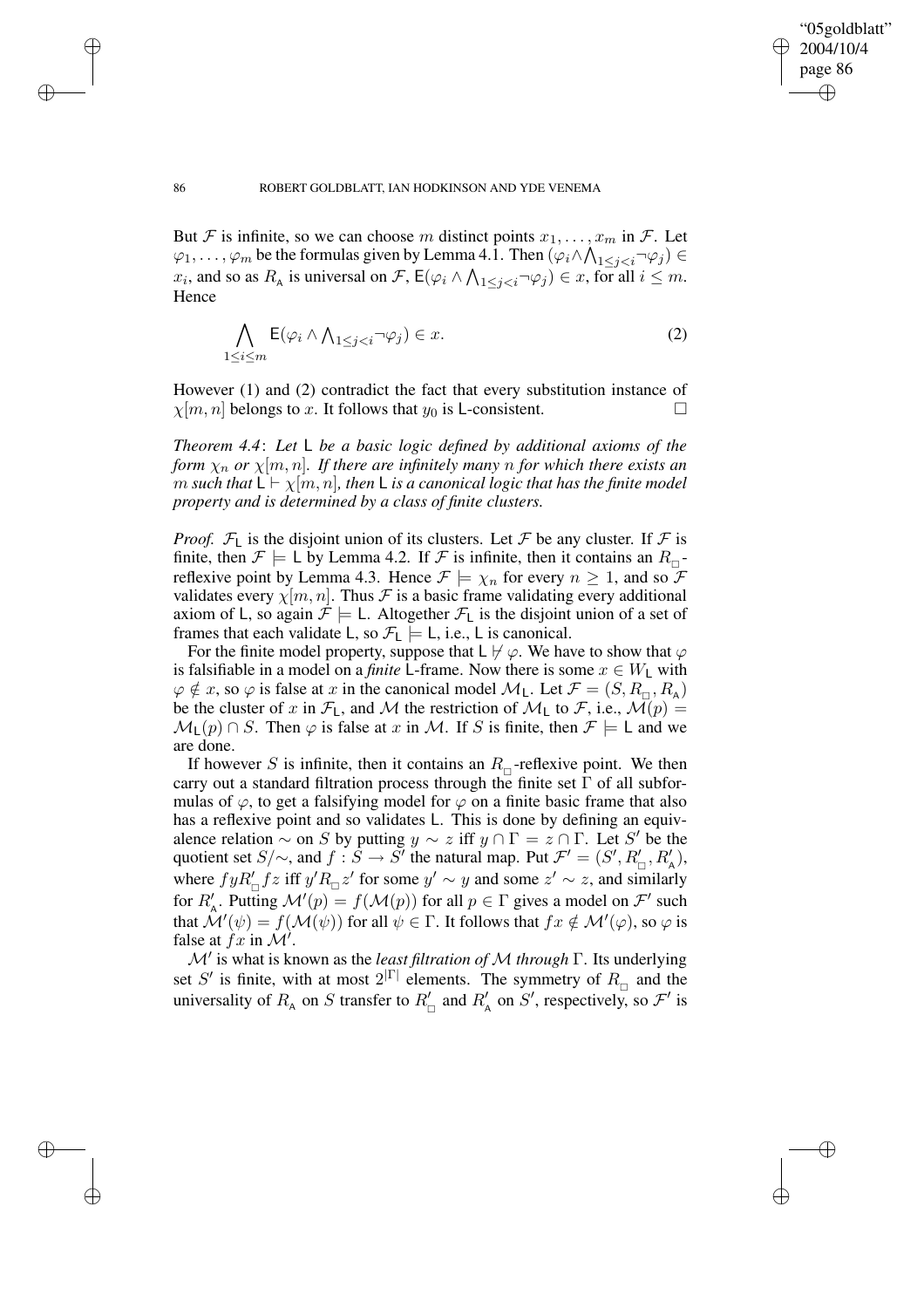✐

#### 86 ROBERT GOLDBLATT, IAN HODKINSON AND YDE VENEMA

But F is infinite, so we can choose m distinct points  $x_1, \ldots, x_m$  in F. Let  $\varphi_1,\ldots,\varphi_m$  be the formulas given by Lemma 4.1. Then  $(\varphi_i\wedge\bigwedge_{1\leq j$  $x_i$ , and so as  $R_A$  is universal on  $\mathcal{F}$ ,  $\mathsf{E}(\varphi_i \wedge \bigwedge_{1 \leq j < i} \neg \varphi_j) \in x$ , for all  $i \leq m$ . Hence

$$
\bigwedge_{1 \le i \le m} \mathsf{E}(\varphi_i \wedge \bigwedge_{1 \le j < i} \neg \varphi_j) \in x. \tag{2}
$$

However (1) and (2) contradict the fact that every substitution instance of  $\chi[m, n]$  belongs to x. It follows that  $y_0$  is L-consistent.

*Theorem 4.4*: *Let* L *be a basic logic defined by additional axioms of the form*  $\chi_n$  *or*  $\chi[m,n]$ *. If there are infinitely many n for which there exists an m* such that  $L \vdash \chi[m,n]$ , then L is a canonical logic that has the finite model *property and is determined by a class of finite clusters.*

*Proof.*  $\mathcal{F}_L$  is the disjoint union of its clusters. Let  $\mathcal F$  be any cluster. If  $\mathcal F$  is finite, then  $\mathcal{F} \models L$  by Lemma 4.2. If  $\mathcal{F}$  is infinite, then it contains an  $R_{\Box}$ reflexive point by Lemma 4.3. Hence  $\mathcal{F} \models \chi_n$  for every  $n \geq 1$ , and so  $\mathcal F$ validates every  $\chi[m, n]$ . Thus F is a basic frame validating every additional axiom of L, so again  $\mathcal{F} \models L$ . Altogether  $\mathcal{F}_L$  is the disjoint union of a set of frames that each validate L, so  $\mathcal{F}_L \models L$ , i.e., L is canonical.

For the finite model property, suppose that  $L \not\vdash \varphi$ . We have to show that  $\varphi$ is falsifiable in a model on a *finite* L-frame. Now there is some  $x \in W_1$  with  $\varphi \notin x$ , so  $\varphi$  is false at x in the canonical model  $\mathcal{M}_L$ . Let  $\mathcal{F} = (S, R_{\Box}, R_{\land})$ be the cluster of x in  $\mathcal{F}_1$ , and M the restriction of  $\mathcal{M}_1$  to  $\mathcal{F}$ , i.e.,  $\mathcal{M}(p)$  =  $\mathcal{M}_L(p) \cap S$ . Then  $\varphi$  is false at x in M. If S is finite, then  $\mathcal{F} \models L$  and we are done.

If however S is infinite, then it contains an  $R_{\Box}$ -reflexive point. We then carry out a standard filtration process through the finite set  $\Gamma$  of all subformulas of  $\varphi$ , to get a falsifying model for  $\varphi$  on a finite basic frame that also has a reflexive point and so validates L. This is done by defining an equivalence relation  $\sim$  on S by putting  $y \sim z$  iff  $y \cap \Gamma = z \cap \Gamma$ . Let S' be the quotient set  $S/\sim$ , and  $f : \tilde{S} \to S'$  the natural map. Put  $\mathcal{F}' = (S', R'_{\sqcap}, R'_{\sqcap}),$ where  $fyR'_{\Box} f z$  iff  $y'R_{\Box} z'$  for some  $y' \sim y$  and some  $z' \sim z$ , and similarly for  $R'_{\mathsf{A}}$ . Putting  $\mathcal{M}'(p) = f(\mathcal{M}(p))$  for all  $p \in \Gamma$  gives a model on  $\mathcal{F}'$  such that  $\hat{\cal M}'(\psi)=f({\cal M}(\psi))$  for all  $\psi\in\Gamma.$  It follows that  $fx\notin {\cal M}'(\varphi),$  so  $\varphi$  is false at  $fx$  in  $\mathcal{M}'$ .

M<sup>0</sup> is what is known as the *least filtration of* M *through* Γ. Its underlying set S' is finite, with at most  $2^{|\Gamma|}$  elements. The symmetry of  $R_{\Box}$  and the universality of  $R_{\rm A}$  on S transfer to  $R'_{\rm n}$  and  $R'_{\rm A}$  on S', respectively, so  $\mathcal{F}'$  is

 $\rightarrow$ 

 $\rightarrow$ 

✐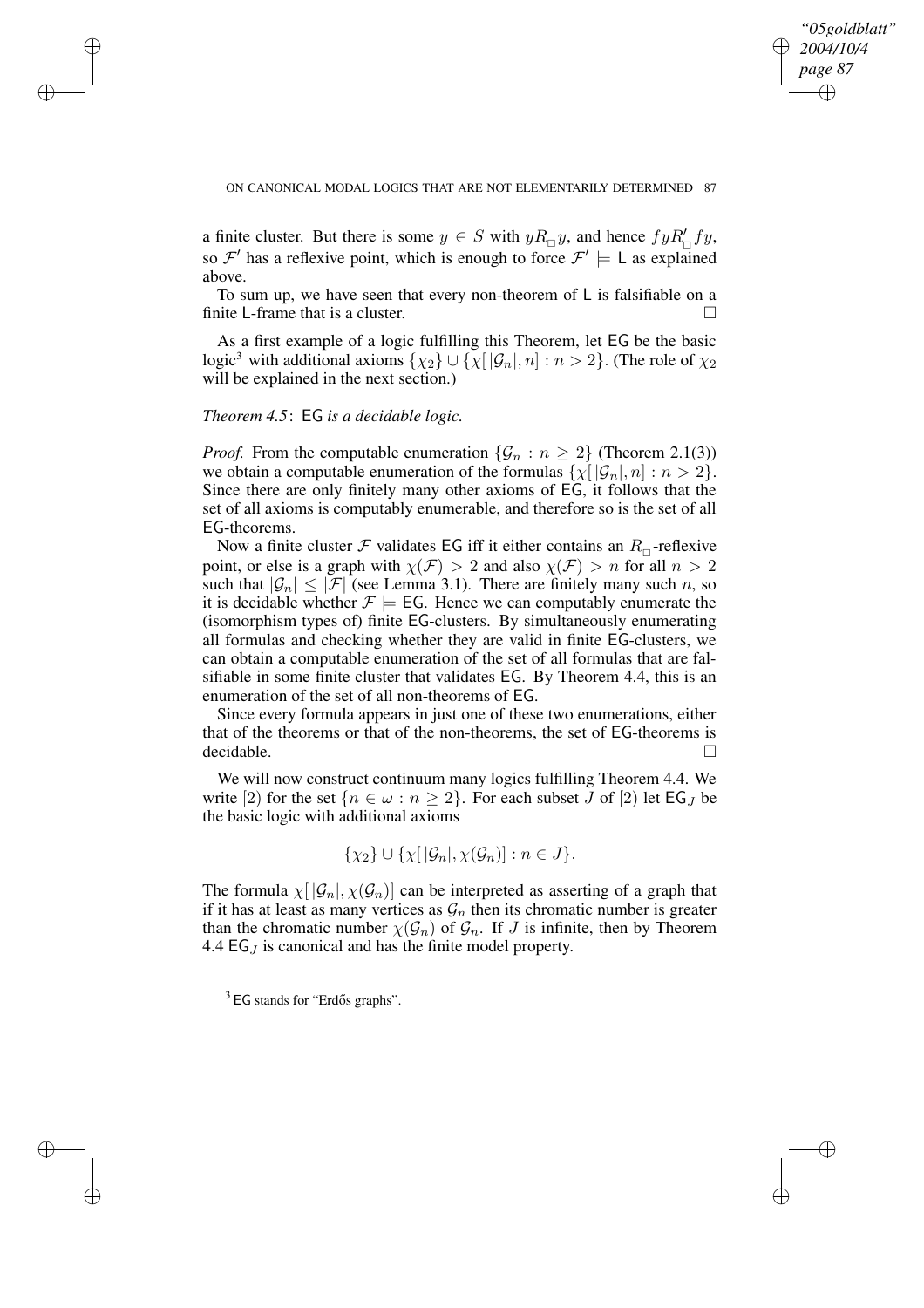✐

ON CANONICAL MODAL LOGICS THAT ARE NOT ELEMENTARILY DETERMINED 87

a finite cluster. But there is some  $y \in S$  with  $yR_{\Box}y$ , and hence  $fyR'_{\Box}fy$ , so  $\mathcal{F}'$  has a reflexive point, which is enough to force  $\mathcal{F}' \models L$  as explained above.

To sum up, we have seen that every non-theorem of L is falsifiable on a finite L-frame that is a cluster.

As a first example of a logic fulfilling this Theorem, let EG be the basic logic<sup>3</sup> with additional axioms  $\{\chi_2\} \cup \{\chi | [\mathcal{G}_n], n] : n > 2\}$ . (The role of  $\chi_2$ ) will be explained in the next section.)

## *Theorem 4.5*: EG *is a decidable logic.*

 $\rightarrow$ 

 $\rightarrow$ 

✐

✐

*Proof.* From the computable enumeration  $\{\mathcal{G}_n : n \geq 2\}$  (Theorem 2.1(3)) we obtain a computable enumeration of the formulas  $\{\chi | \mathcal{G}_n|, n \} : n > 2\}.$ Since there are only finitely many other axioms of EG, it follows that the set of all axioms is computably enumerable, and therefore so is the set of all EG-theorems.

Now a finite cluster  $\mathcal F$  validates EG iff it either contains an  $R_{\Box}$ -reflexive point, or else is a graph with  $\chi(\mathcal{F}) > 2$  and also  $\chi(\mathcal{F}) > n$  for all  $n > 2$ such that  $|\mathcal{G}_n| \leq |\mathcal{F}|$  (see Lemma 3.1). There are finitely many such n, so it is decidable whether  $\mathcal{F} \models$  EG. Hence we can computably enumerate the (isomorphism types of) finite EG-clusters. By simultaneously enumerating all formulas and checking whether they are valid in finite EG-clusters, we can obtain a computable enumeration of the set of all formulas that are falsifiable in some finite cluster that validates EG. By Theorem 4.4, this is an enumeration of the set of all non-theorems of EG.

Since every formula appears in just one of these two enumerations, either that of the theorems or that of the non-theorems, the set of EG-theorems is decidable.

We will now construct continuum many logics fulfilling Theorem 4.4. We write [2) for the set  $\{n \in \omega : n \geq 2\}$ . For each subset J of [2) let EG<sub>J</sub> be the basic logic with additional axioms

$$
\{\chi_2\} \cup \{\chi[\,|\mathcal{G}_n|,\chi(\mathcal{G}_n)] : n \in J\}.
$$

The formula  $\chi |G_n|, \chi(G_n)$  can be interpreted as asserting of a graph that if it has at least as many vertices as  $\mathcal{G}_n$  then its chromatic number is greater than the chromatic number  $\chi(\mathcal{G}_n)$  of  $\mathcal{G}_n$ . If J is infinite, then by Theorem 4.4  $EG_J$  is canonical and has the finite model property.

 $3$  EG stands for "Erdős graphs".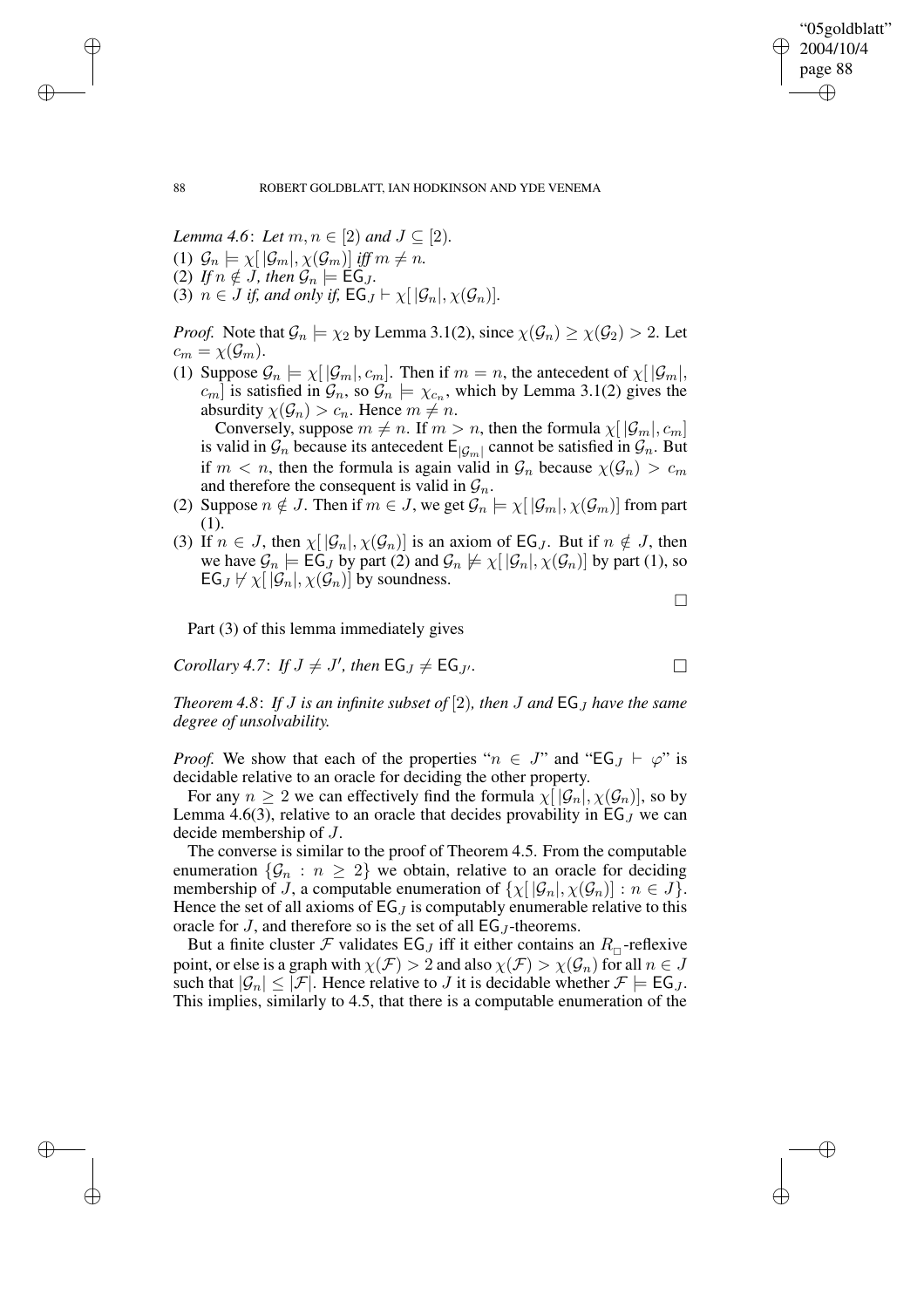✐

#### 88 ROBERT GOLDBLATT, IAN HODKINSON AND YDE VENEMA

*Lemma* 4.6: *Let*  $m, n \in [2)$  *and*  $J \subseteq [2)$ *.* (1)  $\mathcal{G}_n \models \chi[|\mathcal{G}_m|, \chi(\mathcal{G}_m)]$  *iff*  $m \neq n$ .

- (2) If  $n \notin J$ , then  $\mathcal{G}_n \models \mathsf{EG}_J$ .
- (3)  $n \in J$  *if, and only if,*  $\mathsf{EG}_J \vdash \chi |[\mathcal{G}_n], \chi(\mathcal{G}_n)]$ .

*Proof.* Note that  $\mathcal{G}_n \models \chi_2$  by Lemma 3.1(2), since  $\chi(\mathcal{G}_n) \geq \chi(\mathcal{G}_2) > 2$ . Let  $c_m = \chi(\mathcal{G}_m).$ 

(1) Suppose  $\mathcal{G}_n \models \chi[|\mathcal{G}_m|, c_m]$ . Then if  $m = n$ , the antecedent of  $\chi[|\mathcal{G}_m|,$  $[c_m]$  is satisfied in  $\mathcal{G}_n$ , so  $\mathcal{G}_n \models \chi_{c_n}$ , which by Lemma 3.1(2) gives the absurdity  $\chi(\mathcal{G}_n) > c_n$ . Hence  $m \neq n$ .

Conversely, suppose  $m \neq n$ . If  $m > n$ , then the formula  $\chi[|\mathcal{G}_m|, c_m]$ is valid in  $\mathcal{G}_n$  because its antecedent  $E_{|\mathcal{G}_m|}$  cannot be satisfied in  $\mathcal{G}_n$ . But if  $m < n$ , then the formula is again valid in  $\mathcal{G}_n$  because  $\chi(\mathcal{G}_n) > c_m$ and therefore the consequent is valid in  $\mathcal{G}_n$ .

- (2) Suppose  $n \notin J$ . Then if  $m \in J$ , we get  $\mathcal{G}_n \models \chi([\mathcal{G}_m], \chi(\mathcal{G}_m)]$  from part (1).
- (3) If  $n \in J$ , then  $\chi | \mathcal{G}_n |, \chi(\mathcal{G}_n)$  is an axiom of EG<sub>J</sub>. But if  $n \notin J$ , then we have  $\mathcal{G}_n \models \mathsf{EG}_J$  by part (2) and  $\mathcal{G}_n \not\models \chi[ |\mathcal{G}_n|, \chi(\mathcal{G}_n) ]$  by part (1), so  $EG_J \not\vdash \chi [\mathcal{G}_n], \chi(\mathcal{G}_n)]$  by soundness.

 $\Box$ 

Part (3) of this lemma immediately gives

*Corollary* 4.7: *If*  $J \neq J'$ , then  $EG_J \neq EG_{J'}$ .

*Theorem* 4.8: If *J* is an infinite subset of [2], then *J* and  $EG_J$  have the same *degree of unsolvability.*

*Proof.* We show that each of the properties " $n \in J$ " and "EG<sub>J</sub>  $\vdash \varphi$ " is decidable relative to an oracle for deciding the other property.

For any  $n \geq 2$  we can effectively find the formula  $\chi([\mathcal{G}_n], \chi(\mathcal{G}_n)]$ , so by Lemma 4.6(3), relative to an oracle that decides provability in  $EG_J$  we can decide membership of J.

The converse is similar to the proof of Theorem 4.5. From the computable enumeration  $\{\mathcal{G}_n : n \geq 2\}$  we obtain, relative to an oracle for deciding membership of J, a computable enumeration of  $\{\chi | \mathcal{G}_n |, \chi(\mathcal{G}_n) \}$ :  $n \in J\}$ . Hence the set of all axioms of  $EG_J$  is computably enumerable relative to this oracle for J, and therefore so is the set of all  $EG_J$ -theorems.

But a finite cluster  $\mathcal F$  validates  $EG_J$  iff it either contains an  $R_{\Box}$ -reflexive point, or else is a graph with  $\chi(\mathcal{F}) > 2$  and also  $\chi(\mathcal{F}) > \chi(\mathcal{G}_n)$  for all  $n \in J$ such that  $|\mathcal{G}_n| \leq |\mathcal{F}|$ . Hence relative to J it is decidable whether  $\mathcal{F} \models \mathsf{EG}_J$ . This implies, similarly to 4.5, that there is a computable enumeration of the

 $\rightarrow$ 

 $\rightarrow$ 

✐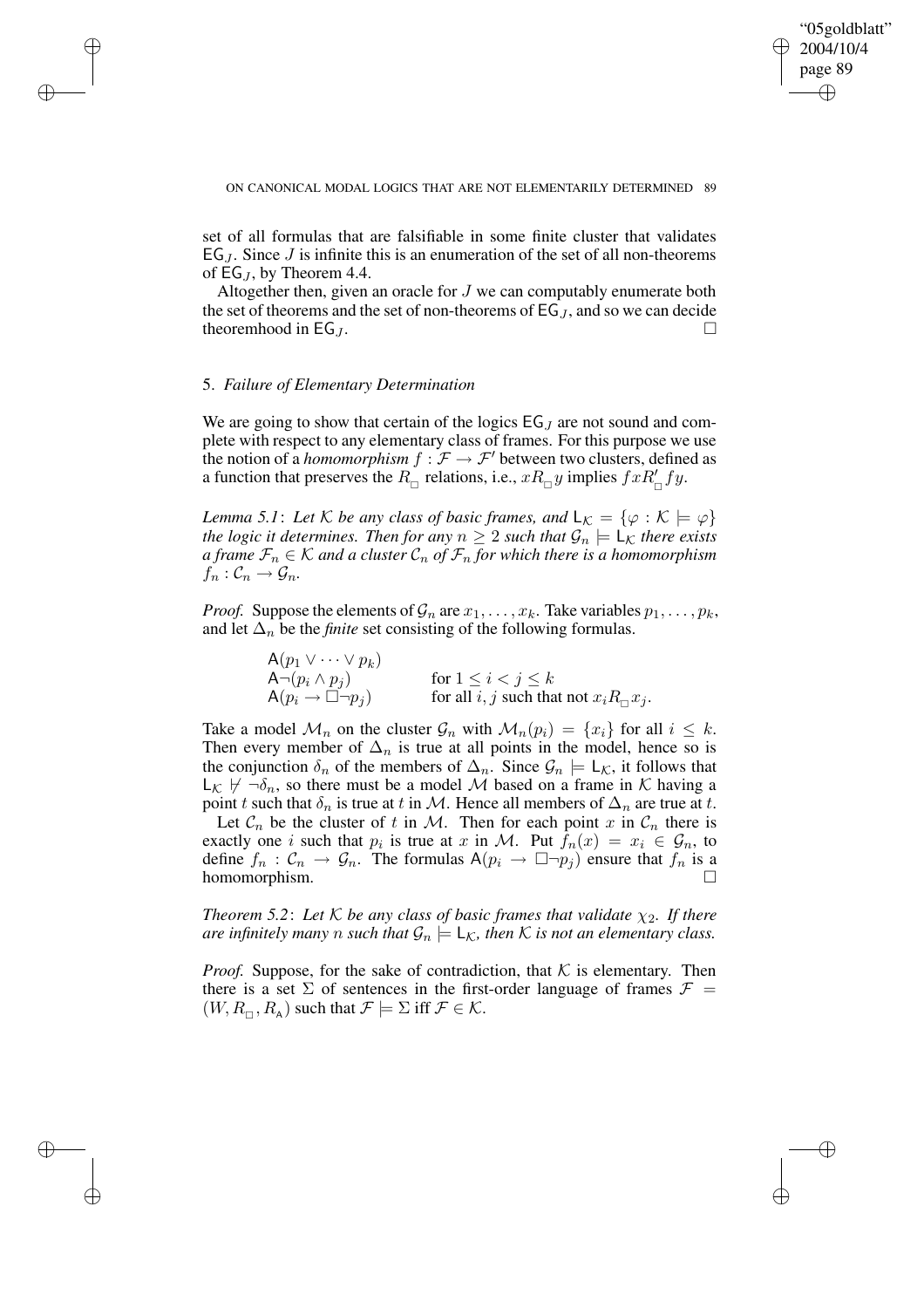✐

#### ON CANONICAL MODAL LOGICS THAT ARE NOT ELEMENTARILY DETERMINED 89

set of all formulas that are falsifiable in some finite cluster that validates  $EG_J$ . Since  $J$  is infinite this is an enumeration of the set of all non-theorems of EG  $<sub>I</sub>$ , by Theorem 4.4.</sub>

Altogether then, given an oracle for J we can computably enumerate both the set of theorems and the set of non-theorems of  $EG_J$ , and so we can decide theoremhood in EG<sub>J</sub>.

# 5. *Failure of Elementary Determination*

 $\rightarrow$ 

 $\rightarrow$ 

✐

✐

We are going to show that certain of the logics  $EG_J$  are not sound and complete with respect to any elementary class of frames. For this purpose we use the notion of a *homomorphism*  $f : \mathcal{F} \to \mathcal{F}'$  between two clusters, defined as a function that preserves the  $R_{\Box}$  relations, i.e.,  $xR_{\Box}y$  implies  $fxR_{\Box}^{\prime}fy$ .

*Lemma* 5.1: Let K be any class of basic frames, and  $L_K = \{ \varphi : K \models \varphi \}$ *the logic it determines. Then for any*  $n \geq 2$  *such that*  $\mathcal{G}_n \models L_{\mathcal{K}}$  *there exists a frame*  $\mathcal{F}_n \in \mathcal{K}$  *and a cluster*  $\mathcal{C}_n$  *of*  $\mathcal{F}_n$  *for which there is a homomorphism*  $f_n: \mathcal{C}_n \to \mathcal{G}_n$ .

*Proof.* Suppose the elements of  $\mathcal{G}_n$  are  $x_1, \ldots, x_k$ . Take variables  $p_1, \ldots, p_k$ , and let  $\Delta_n$  be the *finite* set consisting of the following formulas.

> $A(p_1 \vee \cdots \vee p_k)$  $\overline{\mathsf{A}^{\neg}}(p_i \land p_j)$  for  $1 \leq i < j \leq k$  $A(p_i \rightarrow \Box \neg p_j)$  for all i, j such that not  $x_i R_{\Box} x_j$ .

Take a model  $\mathcal{M}_n$  on the cluster  $\mathcal{G}_n$  with  $\mathcal{M}_n(p_i) = \{x_i\}$  for all  $i \leq k$ . Then every member of  $\Delta_n$  is true at all points in the model, hence so is the conjunction  $\delta_n$  of the members of  $\Delta_n$ . Since  $\mathcal{G}_n \models L_{\mathcal{K}}$ , it follows that  $L_{\mathcal{K}} \not\vdash \neg \delta_n$ , so there must be a model M based on a frame in K having a point t such that  $\delta_n$  is true at t in M. Hence all members of  $\Delta_n$  are true at t. Let  $\mathcal{C}_n$  be the cluster of t in M. Then for each point x in  $\mathcal{C}_n$  there is exactly one *i* such that  $p_i$  is true at x in M. Put  $f_n(x) = x_i \in \mathcal{G}_n$ , to define  $f_n : C_n \to \mathcal{G}_n$ . The formulas  $A(p_i \to \Box \neg p_j)$  ensure that  $f_n$  is a homomorphism.

*Theorem* 5.2: Let K be any class of basic frames that validate  $\chi_2$ . If there *are infinitely many n such that*  $\mathcal{G}_n \models \mathsf{L}_\mathcal{K}$ *, then*  $\mathcal{K}$  *is not an elementary class.* 

*Proof.* Suppose, for the sake of contradiction, that  $K$  is elementary. Then there is a set  $\Sigma$  of sentences in the first-order language of frames  $\mathcal{F}$  =  $(W, R_{\sqcap}, R_{\sf A})$  such that  $\mathcal{F} \models \Sigma$  iff  $\mathcal{F} \in \mathcal{K}$ .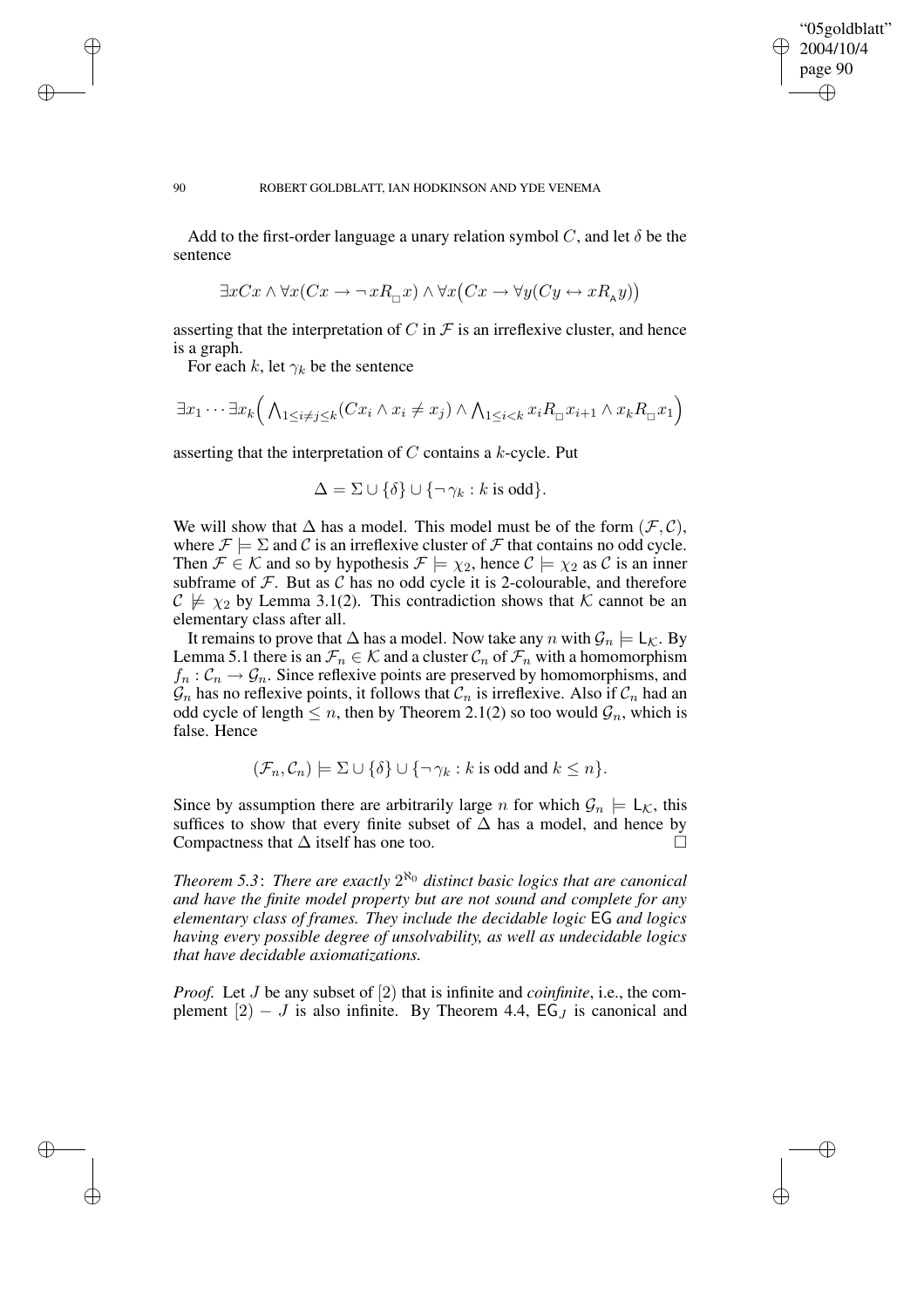✐

#### 90 ROBERT GOLDBLATT, IAN HODKINSON AND YDE VENEMA

Add to the first-order language a unary relation symbol C, and let  $\delta$  be the sentence

$$
\exists x C x \land \forall x (Cx \to \neg x R_{\Box} x) \land \forall x (Cx \to \forall y (Cy \leftrightarrow x R_{\land} y))
$$

asserting that the interpretation of C in  $\mathcal F$  is an irreflexive cluster, and hence is a graph.

For each k, let  $\gamma_k$  be the sentence

 $\rightarrow$ 

 $\rightarrow$ 

✐

✐

$$
\exists x_1 \cdots \exists x_k \Big( \bigwedge_{1 \le i \neq j \le k} (Cx_i \wedge x_i \neq x_j) \wedge \bigwedge_{1 \le i < k} x_i R_{\Box} x_{i+1} \wedge x_k R_{\Box} x_1 \Big)
$$

asserting that the interpretation of C contains a k-cycle. Put

$$
\Delta = \Sigma \cup \{\delta\} \cup \{\neg \gamma_k : k \text{ is odd}\}.
$$

We will show that  $\Delta$  has a model. This model must be of the form  $(\mathcal{F}, \mathcal{C})$ , where  $\mathcal{F} \models \Sigma$  and C is an irreflexive cluster of F that contains no odd cycle. Then  $\mathcal{F} \in \mathcal{K}$  and so by hypothesis  $\mathcal{F} \models \chi_2$ , hence  $\mathcal{C} \models \chi_2$  as  $\mathcal{C}$  is an inner subframe of  $\mathcal F$ . But as  $\mathcal C$  has no odd cycle it is 2-colourable, and therefore  $C \not\models \chi_2$  by Lemma 3.1(2). This contradiction shows that K cannot be an elementary class after all.

It remains to prove that  $\Delta$  has a model. Now take any n with  $\mathcal{G}_n \models L_{\mathcal{K}}$ . By Lemma 5.1 there is an  $\mathcal{F}_n \in \mathcal{K}$  and a cluster  $\mathcal{C}_n$  of  $\mathcal{F}_n$  with a homomorphism  $f_n: \mathcal{C}_n \to \mathcal{G}_n$ . Since reflexive points are preserved by homomorphisms, and  $\mathcal{G}_n$  has no reflexive points, it follows that  $\mathcal{C}_n$  is irreflexive. Also if  $\mathcal{C}_n$  had an odd cycle of length  $\leq n$ , then by Theorem 2.1(2) so too would  $\mathcal{G}_n$ , which is false. Hence

 $(\mathcal{F}_n, \mathcal{C}_n) \models \Sigma \cup \{\delta\} \cup \{\neg \gamma_k : k \text{ is odd and } k \leq n\}.$ 

Since by assumption there are arbitrarily large n for which  $\mathcal{G}_n \models L_{\mathcal{K}}$ , this suffices to show that every finite subset of  $\Delta$  has a model, and hence by Compactness that  $\Delta$  itself has one too.

*Theorem 5.3*: *There are exactly* 2 <sup>ℵ</sup><sup>0</sup> *distinct basic logics that are canonical and have the finite model property but are not sound and complete for any elementary class of frames. They include the decidable logic* EG *and logics having every possible degree of unsolvability, as well as undecidable logics that have decidable axiomatizations.*

*Proof.* Let J be any subset of [2) that is infinite and *coinfinite*, i.e., the complement  $[2] - J$  is also infinite. By Theorem 4.4, EG<sub>J</sub> is canonical and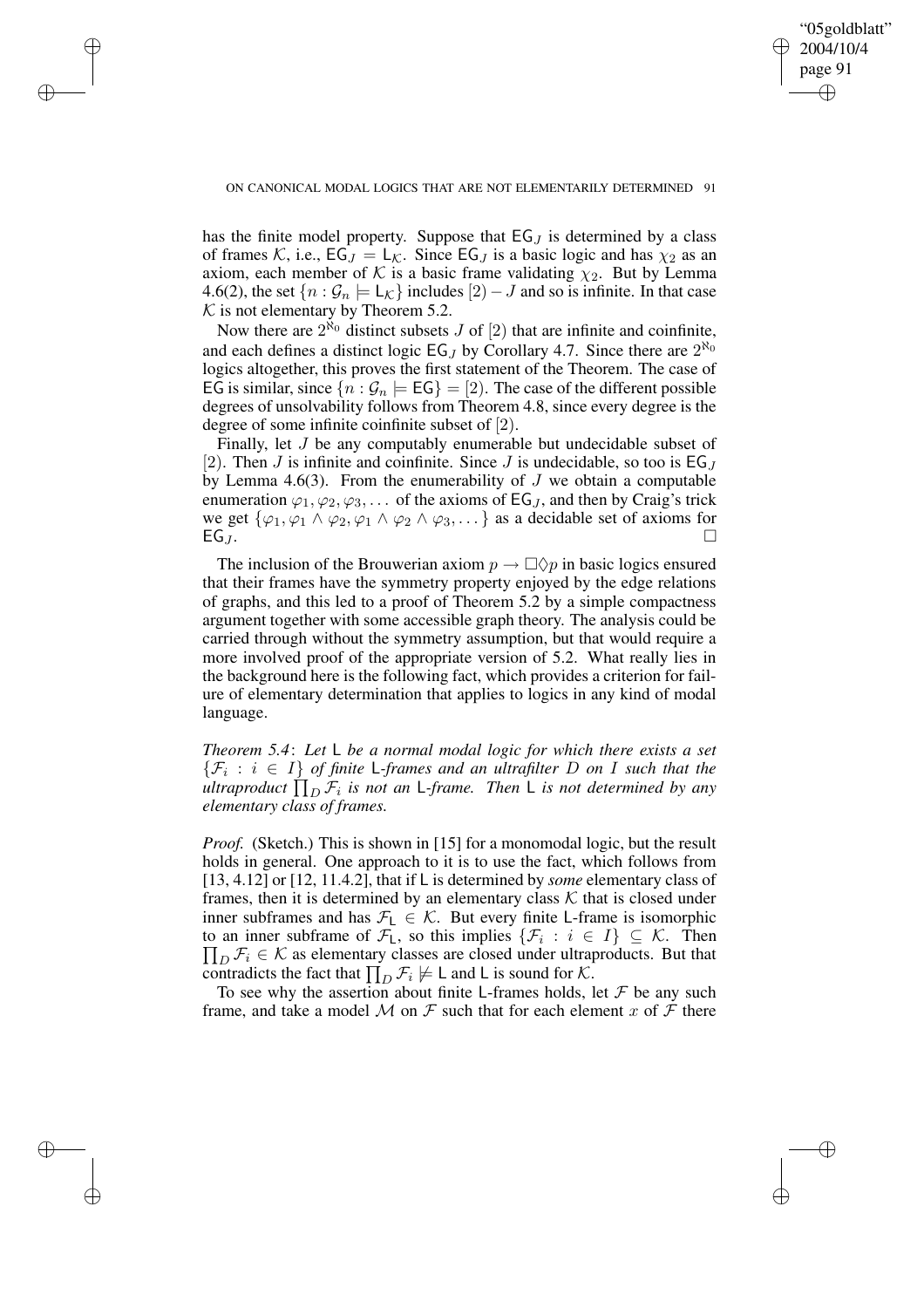✐

 $\rightarrow$ 

 $\rightarrow$ 

✐

✐

has the finite model property. Suppose that  $EG_J$  is determined by a class of frames K, i.e.,  $EG_J = L_K$ . Since  $EG_J$  is a basic logic and has  $\chi_2$  as an axiom, each member of K is a basic frame validating  $\chi_2$ . But by Lemma 4.6(2), the set  $\{n : \mathcal{G}_n \models L_{\mathcal{K}}\}$  includes  $[2]-J$  and so is infinite. In that case  $K$  is not elementary by Theorem 5.2.

Now there are  $2^{\aleph_0}$  distinct subsets J of [2] that are infinite and coinfinite, and each defines a distinct logic  $EG_J$  by Corollary 4.7. Since there are  $2^{\aleph_0}$ logics altogether, this proves the first statement of the Theorem. The case of EG is similar, since  $\{n : \mathcal{G}_n \models \mathsf{EG}\} = [2]$ . The case of the different possible degrees of unsolvability follows from Theorem 4.8, since every degree is the degree of some infinite coinfinite subset of [2).

Finally, let J be any computably enumerable but undecidable subset of [2]. Then J is infinite and coinfinite. Since J is undecidable, so too is  $EG_J$ by Lemma 4.6(3). From the enumerability of  $J$  we obtain a computable enumeration  $\varphi_1, \varphi_2, \varphi_3, \ldots$  of the axioms of EG<sub>J</sub>, and then by Craig's trick we get  $\{\varphi_1, \varphi_1 \wedge \varphi_2, \varphi_1 \wedge \varphi_2 \wedge \varphi_3, \dots\}$  as a decidable set of axioms for EG *I*.  $EGJ.$ 

The inclusion of the Brouwerian axiom  $p \to \Box \Diamond p$  in basic logics ensured that their frames have the symmetry property enjoyed by the edge relations of graphs, and this led to a proof of Theorem 5.2 by a simple compactness argument together with some accessible graph theory. The analysis could be carried through without the symmetry assumption, but that would require a more involved proof of the appropriate version of 5.2. What really lies in the background here is the following fact, which provides a criterion for failure of elementary determination that applies to logics in any kind of modal language.

*Theorem 5.4*: *Let* L *be a normal modal logic for which there exists a set*  $\{\mathcal{F}_i : i \in I\}$  *of finite* L-frames and an *ultrafilter* D on I such that the  $\mu$ *ltraproduct*  $\prod_{D} \mathcal{F}_i$  *is not an L-frame. Then L is not determined by any elementary class of frames.*

*Proof.* (Sketch.) This is shown in [15] for a monomodal logic, but the result holds in general. One approach to it is to use the fact, which follows from [13, 4.12] or [12, 11.4.2], that if L is determined by *some* elementary class of frames, then it is determined by an elementary class  $K$  that is closed under inner subframes and has  $\mathcal{F}_L \in \mathcal{K}$ . But every finite L-frame is isomorphic to an inner subframe of  $\mathcal{F}_L$ , so this implies  $\{\mathcal{F}_i : i \in I\} \subseteq \mathcal{K}$ . Then  $\prod_D \mathcal{F}_i \in \mathcal{K}$  as elementary classes are closed under ultraproducts. But that contradicts the fact that  $\prod_D \mathcal{F}_i \not\models \bot$  and  $\bot$  is sound for  $\mathcal{K}$ .

To see why the assertion about finite L-frames holds, let  $\mathcal F$  be any such frame, and take a model M on F such that for each element x of F there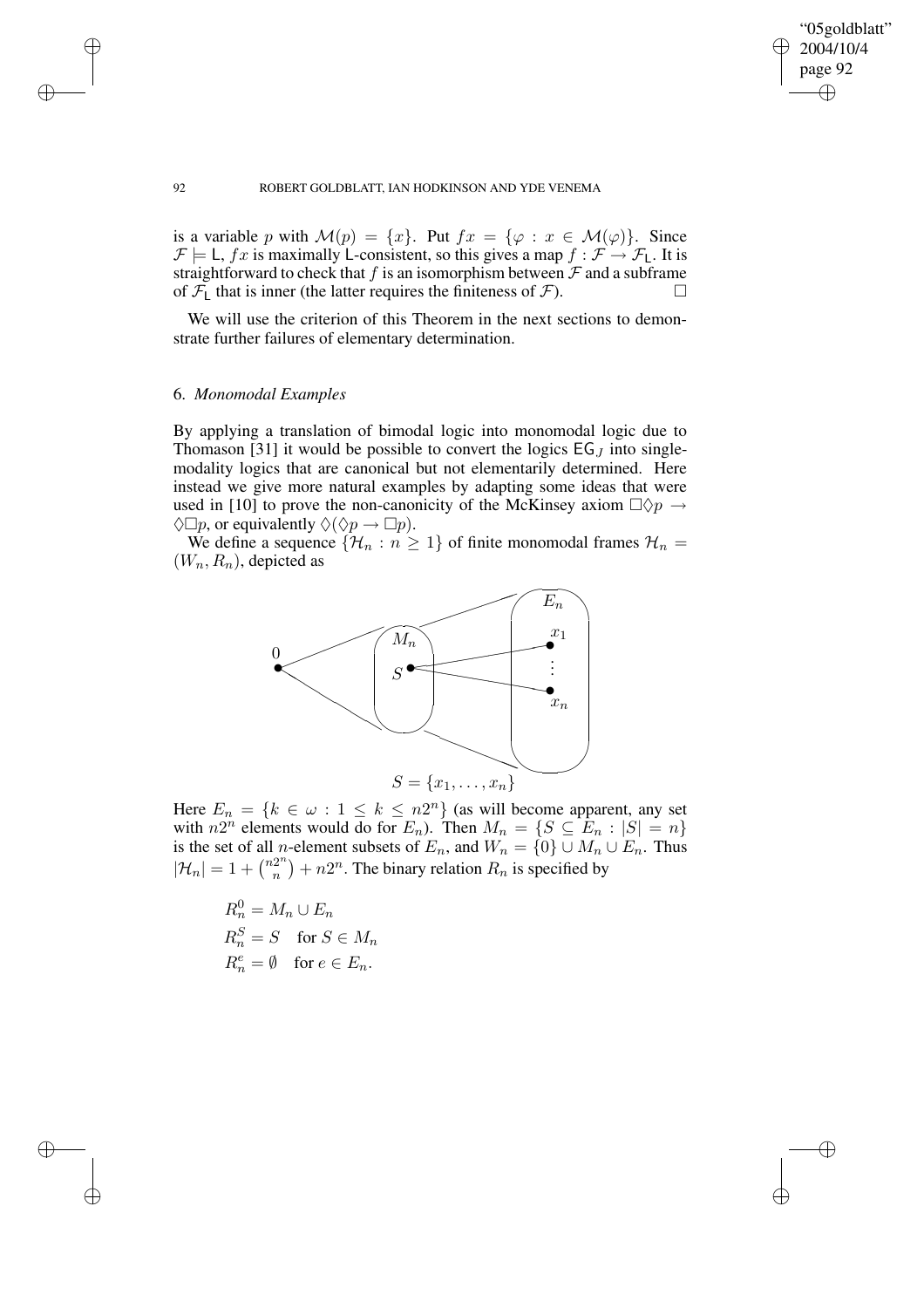$\bigoplus$ 

✐

## 92 ROBERT GOLDBLATT, IAN HODKINSON AND YDE VENEMA

is a variable p with  $\mathcal{M}(p) = \{x\}$ . Put  $fx = \{\varphi : x \in \mathcal{M}(\varphi)\}\$ . Since  $\mathcal{F} \models L$ , fx is maximally L-consistent, so this gives a map  $f : \mathcal{F} \rightarrow \mathcal{F}_L$ . It is straightforward to check that f is an isomorphism between  $\mathcal F$  and a subframe of  $\mathcal{F}_L$  that is inner (the latter requires the finiteness of  $\mathcal{F}$ ).

We will use the criterion of this Theorem in the next sections to demonstrate further failures of elementary determination.

## 6. *Monomodal Examples*

By applying a translation of bimodal logic into monomodal logic due to Thomason [31] it would be possible to convert the logics  $EG_J$  into singlemodality logics that are canonical but not elementarily determined. Here instead we give more natural examples by adapting some ideas that were used in [10] to prove the non-canonicity of the McKinsey axiom  $\Box \Diamond p \rightarrow$  $\Diamond \Box p$ , or equivalently  $\Diamond (\Diamond p \rightarrow \Box p)$ .

We define a sequence  $\{\mathcal{H}_n : n \geq 1\}$  of finite monomodal frames  $\mathcal{H}_n =$  $(W_n, R_n)$ , depicted as



Here  $E_n = \{k \in \omega : 1 \leq k \leq n2^n\}$  (as will become apparent, any set with  $n2^n$  elements would do for  $E_n$ ). Then  $M_n = \{ S \subseteq E_n : |S| = n \}$ is the set of all *n*-element subsets of  $E_n$ , and  $W_n = \{0\} \cup M_n \cup E_n$ . Thus  $|\mathcal{H}_n| = 1 + \binom{n2^n}{n}$  $\binom{2^n}{n}$  +  $n2^n$ . The binary relation  $R_n$  is specified by

$$
R_n^0 = M_n \cup E_n
$$
  
\n
$$
R_n^S = S \text{ for } S \in M_n
$$
  
\n
$$
R_n^e = \emptyset \text{ for } e \in E_n.
$$

 $\rightarrow$ 

 $\rightarrow$ 

✐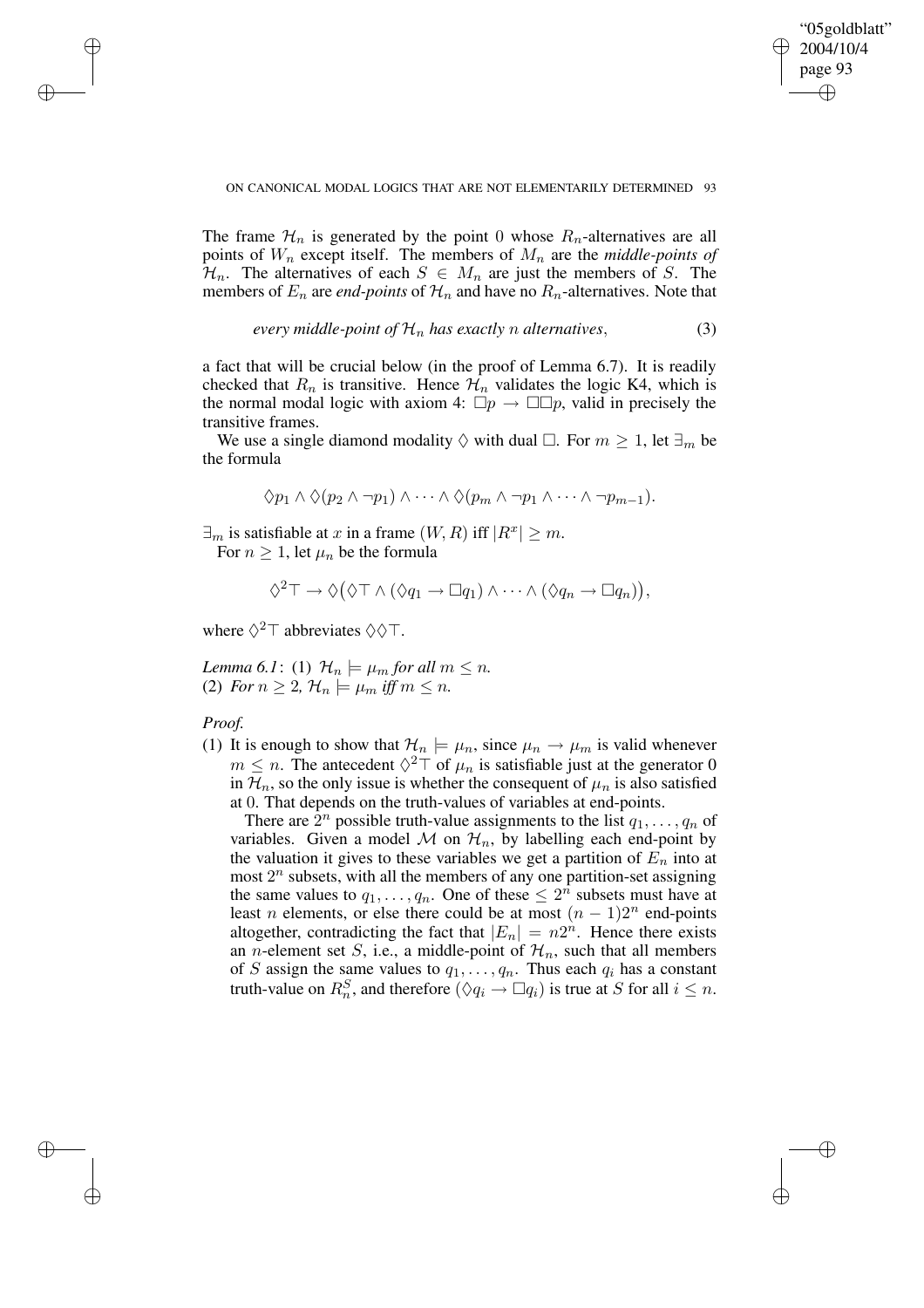✐

ON CANONICAL MODAL LOGICS THAT ARE NOT ELEMENTARILY DETERMINED 93

The frame  $\mathcal{H}_n$  is generated by the point 0 whose  $R_n$ -alternatives are all points of  $W_n$  except itself. The members of  $M_n$  are the *middle-points of*  $\mathcal{H}_n$ . The alternatives of each  $S \in M_n$  are just the members of S. The members of  $E_n$  are *end-points* of  $\mathcal{H}_n$  and have no  $R_n$ -alternatives. Note that

every middle-point of 
$$
\mathcal{H}_n
$$
 has exactly n alternatives, (3)

a fact that will be crucial below (in the proof of Lemma 6.7). It is readily checked that  $R_n$  is transitive. Hence  $\mathcal{H}_n$  validates the logic K4, which is the normal modal logic with axiom 4:  $\Box p \rightarrow \Box \Box p$ , valid in precisely the transitive frames.

We use a single diamond modality  $\Diamond$  with dual  $\Box$ . For  $m \geq 1$ , let  $\exists_m$  be the formula

$$
\Diamond p_1 \land \Diamond (p_2 \land \neg p_1) \land \cdots \land \Diamond (p_m \land \neg p_1 \land \cdots \land \neg p_{m-1}).
$$

 $\exists_m$  is satisfiable at x in a frame  $(W, R)$  iff  $|R^x| \ge m$ . For  $n \geq 1$ , let  $\mu_n$  be the formula

$$
\Diamond^2 \top \to \Diamond (\Diamond \top \land (\Diamond q_1 \to \Box q_1) \land \cdots \land (\Diamond q_n \to \Box q_n)),
$$

where  $\Diamond^2 \top$  abbreviates  $\Diamond \Diamond \top$ .

*Lemma* 6.1: (1)  $\mathcal{H}_n \models \mu_m$  *for all*  $m \leq n$ *.* (2) *For*  $n \geq 2$ ,  $\mathcal{H}_n \models \mu_m$  *iff*  $m \leq n$ .

## *Proof.*

 $\rightarrow$ 

 $\rightarrow$ 

✐

✐

(1) It is enough to show that  $\mathcal{H}_n \models \mu_n$ , since  $\mu_n \rightarrow \mu_m$  is valid whenever  $m \leq n$ . The antecedent  $\Diamond^2 \top$  of  $\mu_n$  is satisfiable just at the generator 0 in  $\mathcal{H}_n$ , so the only issue is whether the consequent of  $\mu_n$  is also satisfied at 0. That depends on the truth-values of variables at end-points.

There are  $\hat{2}^n$  possible truth-value assignments to the list  $q_1, \ldots, q_n$  of variables. Given a model M on  $\mathcal{H}_n$ , by labelling each end-point by the valuation it gives to these variables we get a partition of  $E_n$  into at most  $2^n$  subsets, with all the members of any one partition-set assigning the same values to  $q_1, \ldots, q_n$ . One of these  $\leq 2^n$  subsets must have at least *n* elements, or else there could be at most  $(n - 1)2^n$  end-points altogether, contradicting the fact that  $|E_n| = n2^n$ . Hence there exists an *n*-element set *S*, i.e., a middle-point of  $\mathcal{H}_n$ , such that all members of S assign the same values to  $q_1, \ldots, q_n$ . Thus each  $q_i$  has a constant truth-value on  $R_n^S$ , and therefore  $(\Diamond q_i \to \Box q_i)$  is true at S for all  $i \leq n$ .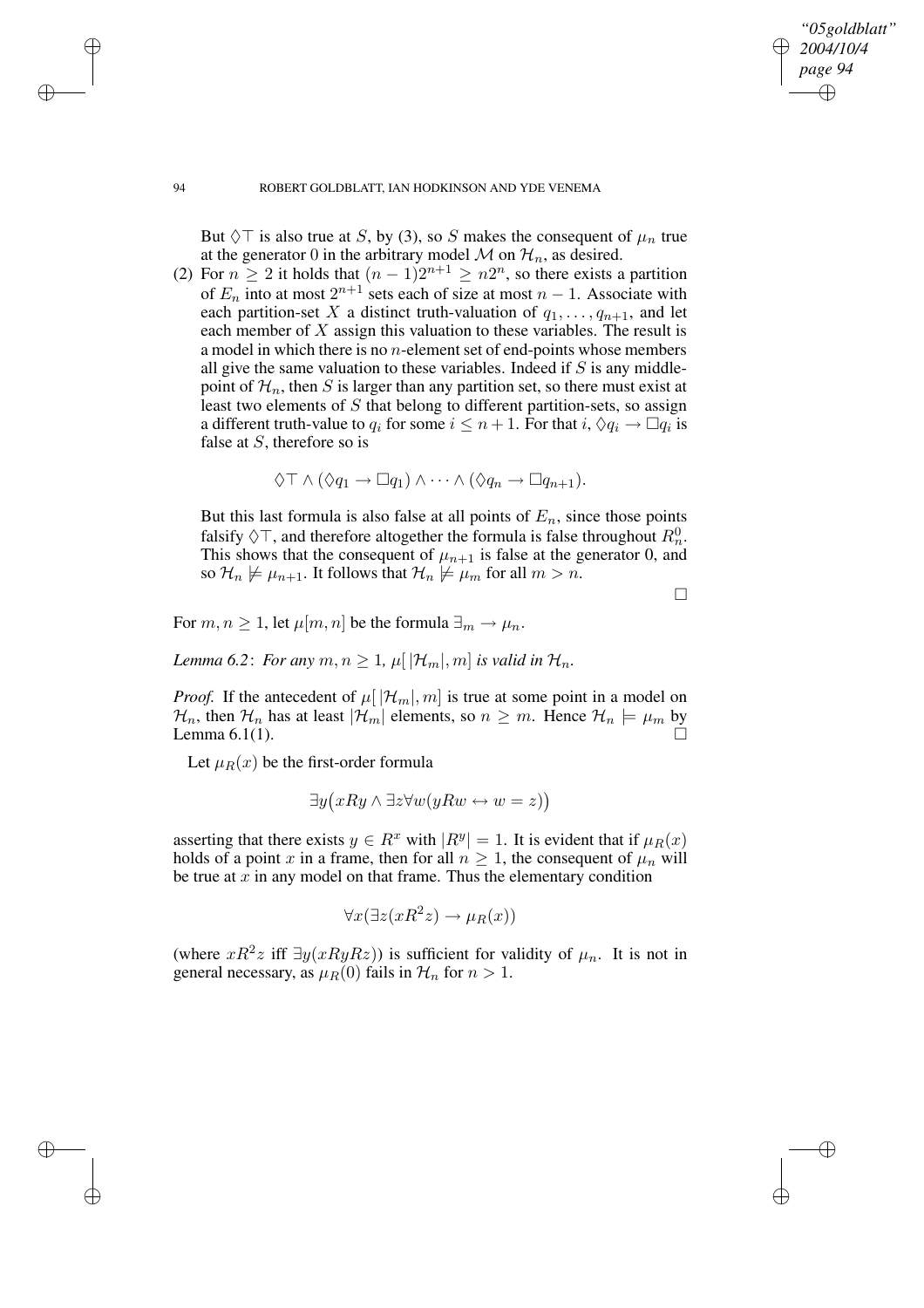## *"05goldblatt" 2004/10/4 page 94* ✐ ✐

✐

✐

### 94 ROBERT GOLDBLATT, IAN HODKINSON AND YDE VENEMA

But  $\Diamond$  is also true at S, by (3), so S makes the consequent of  $\mu_n$  true at the generator 0 in the arbitrary model  $M$  on  $\mathcal{H}_n$ , as desired.

(2) For  $n \geq 2$  it holds that  $(n-1)2^{n+1} \geq n2^n$ , so there exists a partition of  $E_n$  into at most  $2^{n+1}$  sets each of size at most  $n-1$ . Associate with each partition-set X a distinct truth-valuation of  $q_1, \ldots, q_{n+1}$ , and let each member of  $X$  assign this valuation to these variables. The result is a model in which there is no  $n$ -element set of end-points whose members all give the same valuation to these variables. Indeed if  $S$  is any middlepoint of  $\mathcal{H}_n$ , then S is larger than any partition set, so there must exist at least two elements of S that belong to different partition-sets, so assign a different truth-value to  $q_i$  for some  $i \leq n+1$ . For that  $i, \Diamond q_i \to \Box q_i$  is false at  $S$ , therefore so is

$$
\Diamond \top \wedge (\Diamond q_1 \rightarrow \Box q_1) \wedge \cdots \wedge (\Diamond q_n \rightarrow \Box q_{n+1}).
$$

But this last formula is also false at all points of  $E_n$ , since those points falsify  $\Diamond \top$ , and therefore altogether the formula is false throughout  $R_n^0$ . This shows that the consequent of  $\mu_{n+1}$  is false at the generator 0, and so  $\mathcal{H}_n \not\models \mu_{n+1}$ . It follows that  $\mathcal{H}_n \not\models \mu_m$  for all  $m > n$ .

 $\Box$ 

For  $m, n \geq 1$ , let  $\mu[m, n]$  be the formula  $\exists_m \to \mu_n$ .

*Lemma* 6.2: *For any*  $m, n \geq 1$ ,  $\mu[|\mathcal{H}_m|, m]$  *is valid in*  $\mathcal{H}_n$ *.* 

*Proof.* If the antecedent of  $\mu[|\mathcal{H}_m|, m]$  is true at some point in a model on  $\mathcal{H}_n$ , then  $\mathcal{H}_n$  has at least  $|\mathcal{H}_m|$  elements, so  $n \geq m$ . Hence  $\mathcal{H}_n \models \mu_m$  by Lemma 6.1(1).

Let  $\mu_B(x)$  be the first-order formula

$$
\exists y (xRy \land \exists z \forall w (yRw \leftrightarrow w = z))
$$

asserting that there exists  $y \in R^x$  with  $|R^y| = 1$ . It is evident that if  $\mu_R(x)$ holds of a point x in a frame, then for all  $n \geq 1$ , the consequent of  $\mu_n$  will be true at  $x$  in any model on that frame. Thus the elementary condition

$$
\forall x(\exists z(xR^2z)\rightarrow \mu_R(x))
$$

(where  $xR^2z$  iff  $\exists y(xRyRz)$ ) is sufficient for validity of  $\mu_n$ . It is not in general necessary, as  $\mu_R(0)$  fails in  $\mathcal{H}_n$  for  $n > 1$ .

 $\rightarrow$ 

 $\rightarrow$ 

✐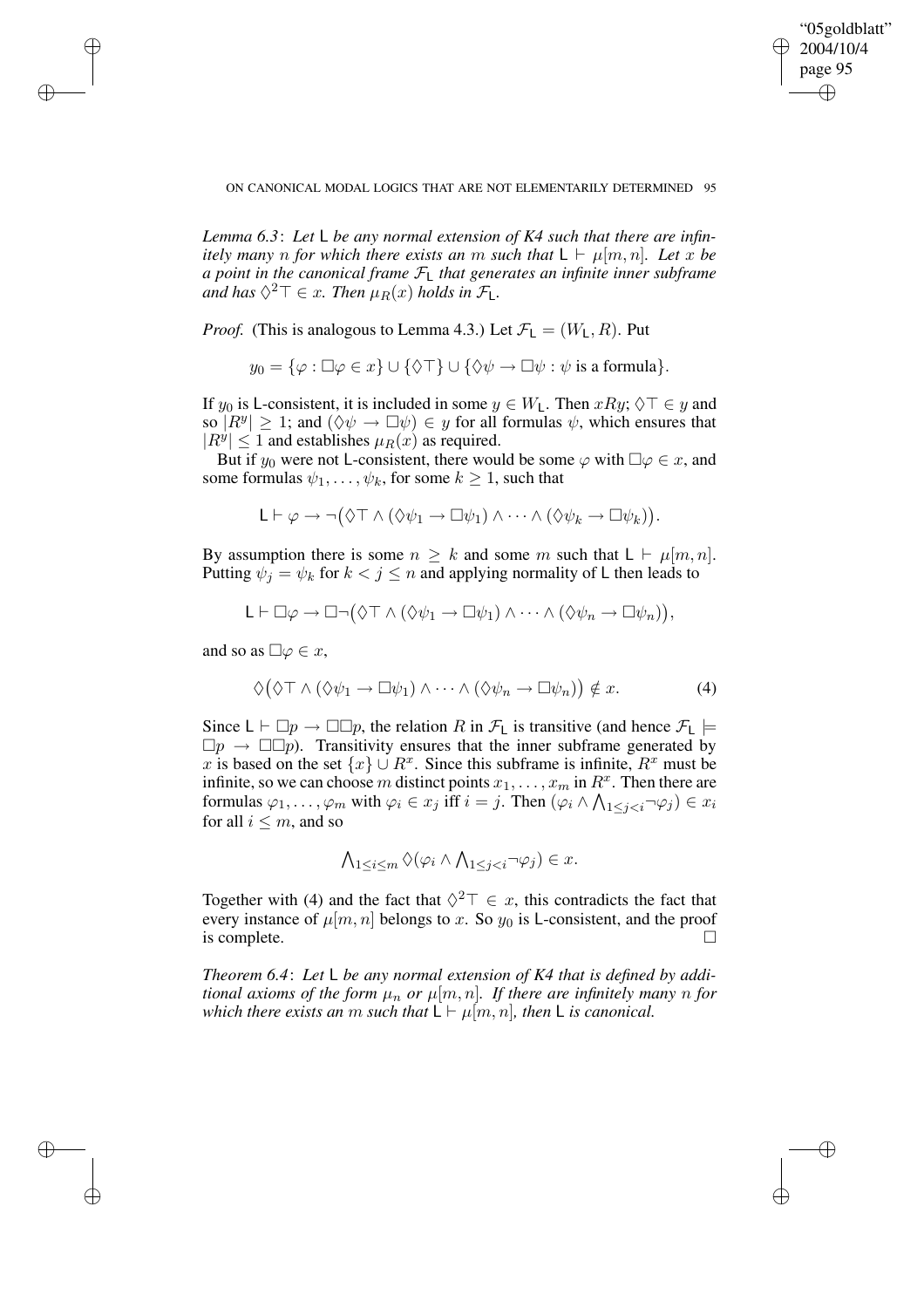✐

ON CANONICAL MODAL LOGICS THAT ARE NOT ELEMENTARILY DETERMINED 95

*Lemma 6.3*: *Let* L *be any normal extension of K4 such that there are infinitely many n for which there exists an m such that*  $L \vdash \mu[m, n]$ *. Let x be a point in the canonical frame* FL *that generates an infinite inner subframe* and has  $\Diamond^2 \top \in x$ . Then  $\mu_R(x)$  holds in  $\mathcal{F}_L$ .

*Proof.* (This is analogous to Lemma 4.3.) Let  $\mathcal{F}_L = (W_L, R)$ . Put

$$
y_0 = \{ \varphi : \Box \varphi \in x \} \cup \{ \Diamond \top \} \cup \{ \Diamond \psi \to \Box \psi : \psi \text{ is a formula} \}.
$$

If  $y_0$  is L-consistent, it is included in some  $y \in W_1$ . Then  $xRy$ ;  $\Diamond \top \in y$  and so  $|R^y| \geq 1$ ; and  $(\Diamond \psi \to \Box \psi) \in y$  for all formulas  $\psi$ , which ensures that  $|R^y| \le 1$  and establishes  $\mu_R(x)$  as required.

But if  $y_0$  were not L-consistent, there would be some  $\varphi$  with  $\Box \varphi \in x$ , and some formulas  $\psi_1, \ldots, \psi_k$ , for some  $k \geq 1$ , such that

$$
\mathsf{L}\vdash \varphi\rightarrow \neg\big(\Diamond\top\wedge(\Diamond\psi_1\rightarrow \Box\psi_1)\wedge\cdots\wedge(\Diamond\psi_k\rightarrow \Box\psi_k)\big).
$$

By assumption there is some  $n \geq k$  and some m such that  $L \vdash \mu[m, n]$ . Putting  $\psi_i = \psi_k$  for  $k < j \leq n$  and applying normality of L then leads to

$$
\mathsf{L}\vdash \Box\varphi\rightarrow\Box\neg\big(\Diamond\top\wedge(\Diamond\psi_1\rightarrow\Box\psi_1)\wedge\cdots\wedge(\Diamond\psi_n\rightarrow\Box\psi_n)\big),
$$

and so as  $\Box \varphi \in x$ ,

 $\rightarrow$ 

 $\rightarrow$ 

✐

✐

$$
\Diamond(\Diamond \top \land (\Diamond \psi_1 \to \Box \psi_1) \land \cdots \land (\Diamond \psi_n \to \Box \psi_n)) \notin x. \tag{4}
$$

Since  $\mathsf{L} \vdash \Box p \rightarrow \Box \Box p$ , the relation R in  $\mathcal{F}_\mathsf{L}$  is transitive (and hence  $\mathcal{F}_\mathsf{L} \models$  $\Box p \rightarrow \Box \Box p$ . Transitivity ensures that the inner subframe generated by x is based on the set  $\{x\} \cup R^x$ . Since this subframe is infinite,  $R^x$  must be infinite, so we can choose m distinct points  $x_1, \ldots, x_m$  in  $R^x$ . Then there are formulas  $\varphi_1, \ldots, \varphi_m$  with  $\varphi_i \in x_j$  iff  $i = j$ . Then  $(\varphi_i \land \bigwedge_{1 \leq j < i} \neg \varphi_j) \in x_i$ for all  $i \leq m$ , and so

$$
\bigwedge_{1\leq i\leq m}\Diamond(\varphi_i\wedge\bigwedge_{1\leq j
$$

Together with (4) and the fact that  $\Diamond^2 \top \in x$ , this contradicts the fact that every instance of  $\mu[m, n]$  belongs to x. So  $y_0$  is L-consistent, and the proof is complete.

*Theorem 6.4*: *Let* L *be any normal extension of K4 that is defined by additional axioms of the form*  $\mu_n$  *or*  $\mu[m,n]$ *. If there are infinitely many n for which there exists an m such that*  $L \vdash \mu[m, n]$ *, then* L *is canonical.*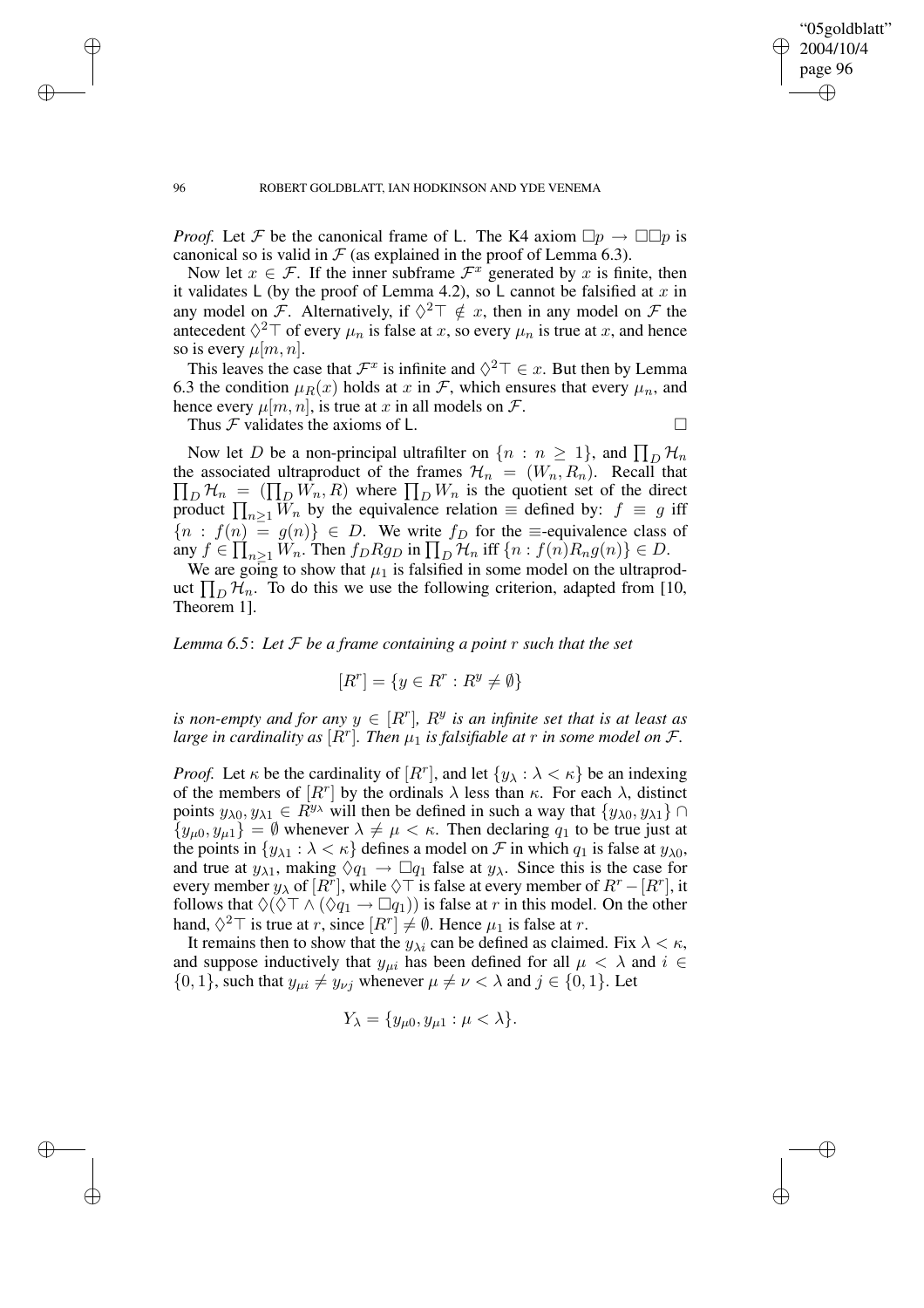✐

#### 96 ROBERT GOLDBLATT, IAN HODKINSON AND YDE VENEMA

*Proof.* Let F be the canonical frame of L. The K4 axiom  $\Box p \rightarrow \Box \Box p$  is canonical so is valid in  $\mathcal F$  (as explained in the proof of Lemma 6.3).

Now let  $x \in \mathcal{F}$ . If the inner subframe  $\mathcal{F}^x$  generated by x is finite, then it validates L (by the proof of Lemma 4.2), so L cannot be falsified at x in any model on F. Alternatively, if  $\Diamond^2 \top \notin x$ , then in any model on F the antecedent  $\Diamond^2 \top$  of every  $\mu_n$  is false at x, so every  $\mu_n$  is true at x, and hence so is every  $\mu[m, n]$ .

This leaves the case that  $\mathcal{F}^x$  is infinite and  $\Diamond^2 \top \in \mathcal{x}$ . But then by Lemma 6.3 the condition  $\mu_R(x)$  holds at x in F, which ensures that every  $\mu_n$ , and hence every  $\mu[m, n]$ , is true at x in all models on F.

Thus  $\mathcal F$  validates the axioms of L.

Now let D be a non-principal ultrafilter on  $\{n : n \ge 1\}$ , and  $\prod_D \mathcal{H}_n$  $\prod_D \mathcal{H}_n = (\prod_D W_n, R)$  where  $\prod_D W_n$  is the quotient set of the direct the associated ultraproduct of the frames  $\mathcal{H}_n = (W_n, R_n)$ . Recall that product  $\prod_{n\geq 1} W_n$  by the equivalence relation  $\equiv$  defined by:  $f \equiv g$  iff  ${n : f(n) = g(n)} \in D$ . We write  $f_D$  for the  $\equiv$ -equivalence class of any  $f \in \prod_{n\geq 1} W_n$ . Then  $f_D R g_D$  in  $\prod_D \mathcal{H}_n$  iff  $\{n : f(n)R_n g(n)\} \in D$ .

We are going to show that  $\mu_1$  is falsified in some model on the ultraproduct  $\prod_D \mathcal{H}_n$ . To do this we use the following criterion, adapted from [10, Theorem 1].

*Lemma 6.5*: *Let* F *be a frame containing a point* r *such that the set*

$$
[R^r] = \{ y \in R^r : R^y \neq \emptyset \}
$$

*is non-empty and for any*  $y \in [R^r]$ *,*  $R^y$  *is an infinite set that is at least as large in cardinality as*  $[R^r]$ *. Then*  $\mu_1$  *is falsifiable at r in some model on F.* 

*Proof.* Let  $\kappa$  be the cardinality of  $[R^r]$ , and let  $\{y_\lambda : \lambda < \kappa\}$  be an indexing of the members of  $[R^r]$  by the ordinals  $\lambda$  less than  $\kappa$ . For each  $\lambda$ , distinct points  $y_{\lambda 0}, y_{\lambda 1} \in R^{y_{\lambda}}$  will then be defined in such a way that  $\{y_{\lambda 0}, y_{\lambda 1}\}\cap$  $\{y_{\mu 0}, y_{\mu 1}\} = \emptyset$  whenever  $\lambda \neq \mu < \kappa$ . Then declaring  $q_1$  to be true just at the points in  $\{y_{\lambda 1} : \lambda < \kappa\}$  defines a model on  $\mathcal F$  in which  $q_1$  is false at  $y_{\lambda 0}$ , and true at  $y_{\lambda 1}$ , making  $\Diamond q_1 \rightarrow \Box q_1$  false at  $y_\lambda$ . Since this is the case for every member  $y_\lambda$  of  $[R^r]$ , while  $\Diamond \top$  is false at every member of  $R^r - [R^r]$ , it follows that  $\Diamond(\Diamond \top \land (\Diamond q_1 \rightarrow \Box q_1))$  is false at r in this model. On the other hand,  $\Diamond^2 \top$  is true at r, since  $[R^r] \neq \emptyset$ . Hence  $\mu_1$  is false at r.

It remains then to show that the  $y_{\lambda i}$  can be defined as claimed. Fix  $\lambda < \kappa$ , and suppose inductively that  $y_{\mu i}$  has been defined for all  $\mu < \lambda$  and  $i \in$  $\{0, 1\}$ , such that  $y_{\mu i} \neq y_{\nu j}$  whenever  $\mu \neq \nu < \lambda$  and  $j \in \{0, 1\}$ . Let

$$
Y_{\lambda} = \{y_{\mu 0}, y_{\mu 1} : \mu < \lambda\}.
$$

 $\rightarrow$ 

 $\rightarrow$ 

✐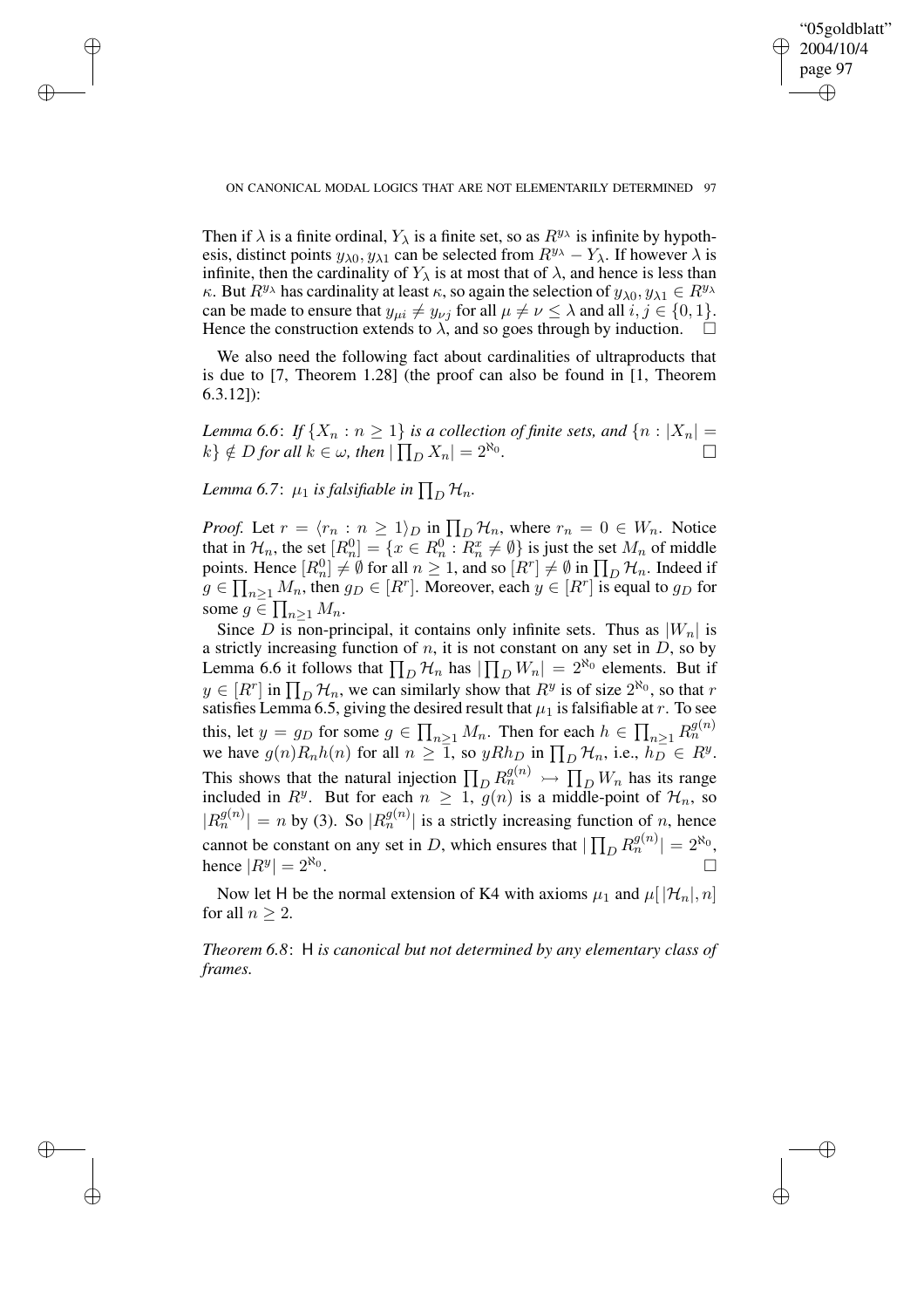✐

#### ON CANONICAL MODAL LOGICS THAT ARE NOT ELEMENTARILY DETERMINED 97

Then if  $\lambda$  is a finite ordinal,  $Y_{\lambda}$  is a finite set, so as  $R^{y_{\lambda}}$  is infinite by hypothesis, distinct points  $y_{\lambda 0}$ ,  $y_{\lambda 1}$  can be selected from  $R^{y_{\lambda}} - Y_{\lambda}$ . If however  $\lambda$  is infinite, then the cardinality of  $Y_{\lambda}$  is at most that of  $\lambda$ , and hence is less than κ. But  $R^{y_\lambda}$  has cardinality at least κ, so again the selection of  $y_{\lambda 0}, y_{\lambda 1} \in R^{y_\lambda}$ can be made to ensure that  $y_{\mu i} \neq y_{\nu j}$  for all  $\mu \neq \nu \leq \lambda$  and all  $i, j \in \{0, 1\}.$ Hence the construction extends to  $\lambda$ , and so goes through by induction.  $\Box$ 

We also need the following fact about cardinalities of ultraproducts that is due to [7, Theorem 1.28] (the proof can also be found in [1, Theorem 6.3.12]):

*Lemma* 6.6: If  $\{X_n : n \geq 1\}$  is a collection of finite sets, and  $\{n : |X_n| = n\}$  $k$ }  $\notin$  *D for all*  $k \in \omega$ *, then*  $|\prod_D X_n| = 2^{\aleph_0}$ *.*  $\Box$ 

Lemma 6.7:  $\mu_1$  *is falsifiable in*  $\prod_D \mathcal{H}_n$ .

 $\rightarrow$ 

 $\rightarrow$ 

✐

✐

*Proof.* Let  $r = \langle r_n : n \ge 1 \rangle_D$  in  $\prod_D \mathcal{H}_n$ , where  $r_n = 0 \in W_n$ . Notice that in  $\mathcal{H}_n$ , the set  $[R_n^0] = \{x \in R_n^0 : R_n^x \neq \emptyset\}$  is just the set  $M_n$  of middle points. Hence  $[R_n^0] \neq \emptyset$  for all  $n \geq 1$ , and so  $[R^r] \neq \emptyset$  in  $\prod_D \mathcal{H}_n$ . Indeed if  $g \in \prod_{n \geq 1} M_n$ , then  $g_D \in [R^r]$ . Moreover, each  $y \in [R^r]$  is equal to  $g_D$  for some  $g \in \prod_{n\geq 1} M_n$ .

Since D is non-principal, it contains only infinite sets. Thus as  $|W_n|$  is a strictly increasing function of  $n$ , it is not constant on any set in  $D$ , so by Lemma 6.6 it follows that  $\prod_D \mathcal{H}_n$  has  $|\prod_D W_n| = 2^{\aleph_0}$  elements. But if  $y \in [R^r]$  in  $\prod_D \mathcal{H}_n$ , we can similarly show that  $R^y$  is of size  $2^{\aleph_0}$ , so that r satisfies Lemma 6.5, giving the desired result that  $\mu_1$  is falsifiable at r. To see this, let  $y = g_D$  for some  $g \in \prod_{n \geq 1} M_n$ . Then for each  $h \in \prod_{n \geq 1} R_n^{g(n)}$ we have  $g(n)R_n h(n)$  for all  $n \geq \overline{1}$ , so  $yRh_D$  in  $\prod_D \mathcal{H}_n$ , i.e.,  $h_D \in R^y$ . This shows that the natural injection  $\prod_D R_n^{g(n)} \rightarrow \prod_D W_n$  has its range included in  $R^y$ . But for each  $n \geq 1$ ,  $g(n)$  is a middle-point of  $\mathcal{H}_n$ , so  $|R_n^{g(n)}| = n$  by (3). So  $|R_n^{g(n)}|$  is a strictly increasing function of n, hence cannot be constant on any set in D, which ensures that  $|\prod_D R_n^{g(n)}| = 2^{\aleph_0}$ , hence  $|R^y| = 2^{\aleph_0}$ .

Now let H be the normal extension of K4 with axioms  $\mu_1$  and  $\mu[|\mathcal{H}_n|, n]$ for all  $n > 2$ .

*Theorem 6.8*: H *is canonical but not determined by any elementary class of frames.*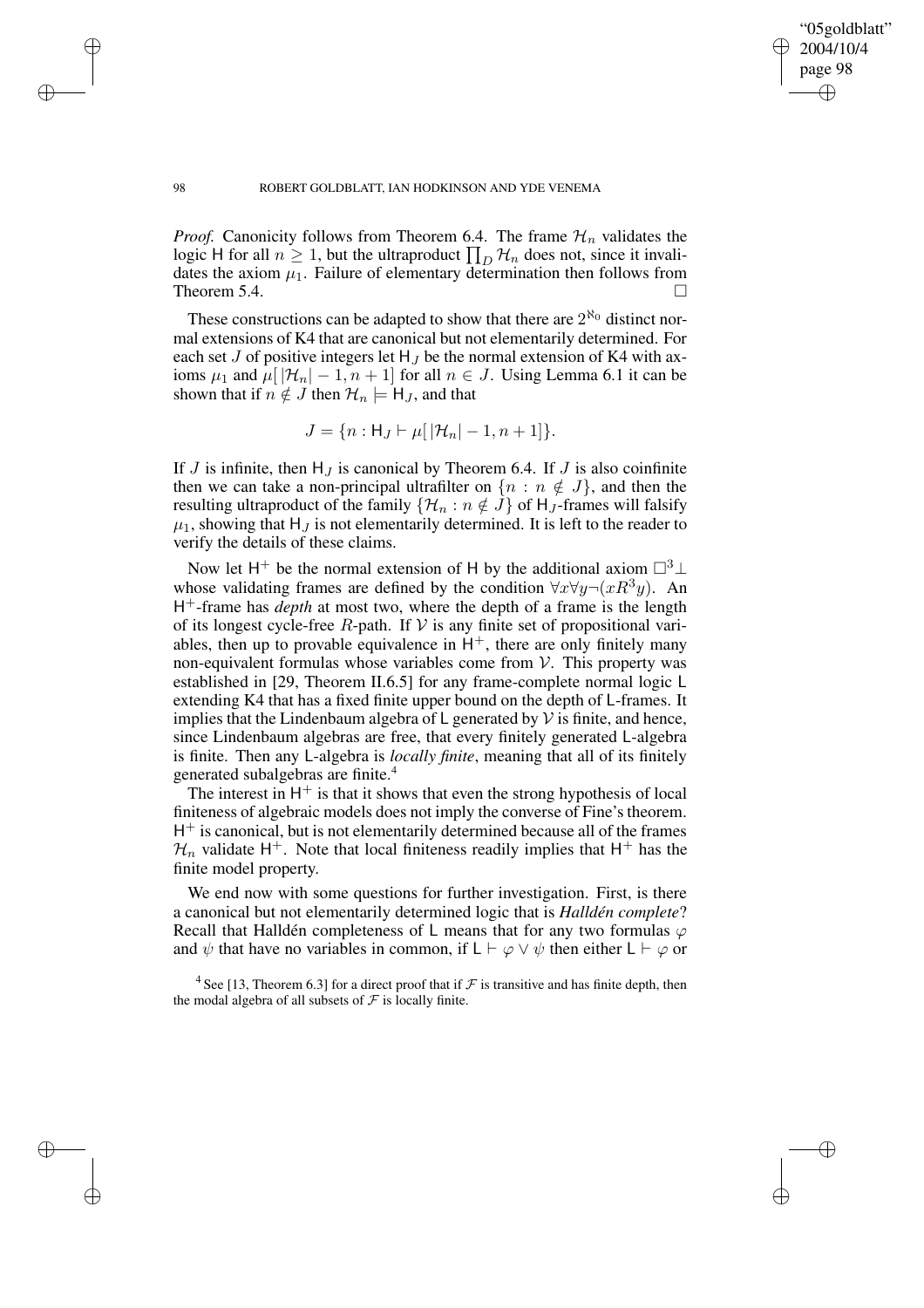✐

#### 98 ROBERT GOLDBLATT, IAN HODKINSON AND YDE VENEMA

*Proof.* Canonicity follows from Theorem 6.4. The frame  $\mathcal{H}_n$  validates the logic H for all  $n \geq 1$ , but the ultraproduct  $\prod_D \mathcal{H}_n$  does not, since it invalidates the axiom  $\mu_1$ . Failure of elementary determination then follows from Theorem 5.4.

These constructions can be adapted to show that there are  $2^{\aleph_0}$  distinct normal extensions of K4 that are canonical but not elementarily determined. For each set J of positive integers let  $H_J$  be the normal extension of K4 with axioms  $\mu_1$  and  $\mu$ [ $|\mathcal{H}_n|$  – 1,  $n + 1$ ] for all  $n \in J$ . Using Lemma 6.1 it can be shown that if  $n \notin J$  then  $\mathcal{H}_n \models H_J$ , and that

$$
J = \{ n : H_J \vdash \mu[ |H_n| - 1, n + 1] \}.
$$

If J is infinite, then  $H_J$  is canonical by Theorem 6.4. If J is also coinfinite then we can take a non-principal ultrafilter on  $\{n : n \notin J\}$ , and then the resulting ultraproduct of the family  $\{\mathcal{H}_n : n \notin J\}$  of  $H_J$ -frames will falsify  $\mu_1$ , showing that H<sub>J</sub> is not elementarily determined. It is left to the reader to verify the details of these claims.

Now let H<sup>+</sup> be the normal extension of H by the additional axiom  $\square^3 \bot$ whose validating frames are defined by the condition  $\forall x \forall y \neg (xR^3y)$ . An H <sup>+</sup>-frame has *depth* at most two, where the depth of a frame is the length of its longest cycle-free R-path. If  $V$  is any finite set of propositional variables, then up to provable equivalence in  $H^+$ , there are only finitely many non-equivalent formulas whose variables come from  $V$ . This property was established in [29, Theorem II.6.5] for any frame-complete normal logic L extending K4 that has a fixed finite upper bound on the depth of L-frames. It implies that the Lindenbaum algebra of  $\mathsf L$  generated by  $\mathcal V$  is finite, and hence, since Lindenbaum algebras are free, that every finitely generated L-algebra is finite. Then any L-algebra is *locally finite*, meaning that all of its finitely generated subalgebras are finite.<sup>4</sup>

The interest in  $H^+$  is that it shows that even the strong hypothesis of local finiteness of algebraic models does not imply the converse of Fine's theorem. H<sup>+</sup> is canonical, but is not elementarily determined because all of the frames  $\mathcal{H}_n$  validate H<sup>+</sup>. Note that local finiteness readily implies that H<sup>+</sup> has the finite model property.

We end now with some questions for further investigation. First, is there a canonical but not elementarily determined logic that is *Halldén complete*? Recall that Halldén completeness of L means that for any two formulas  $\varphi$ and  $\psi$  that have no variables in common, if  $\mathsf{L} \vdash \varphi \lor \psi$  then either  $\mathsf{L} \vdash \varphi$  or

<sup>4</sup> See [13, Theorem 6.3] for a direct proof that if  $\mathcal F$  is transitive and has finite depth, then the modal algebra of all subsets of  $\mathcal F$  is locally finite.

 $\rightarrow$ 

 $\rightarrow$ 

✐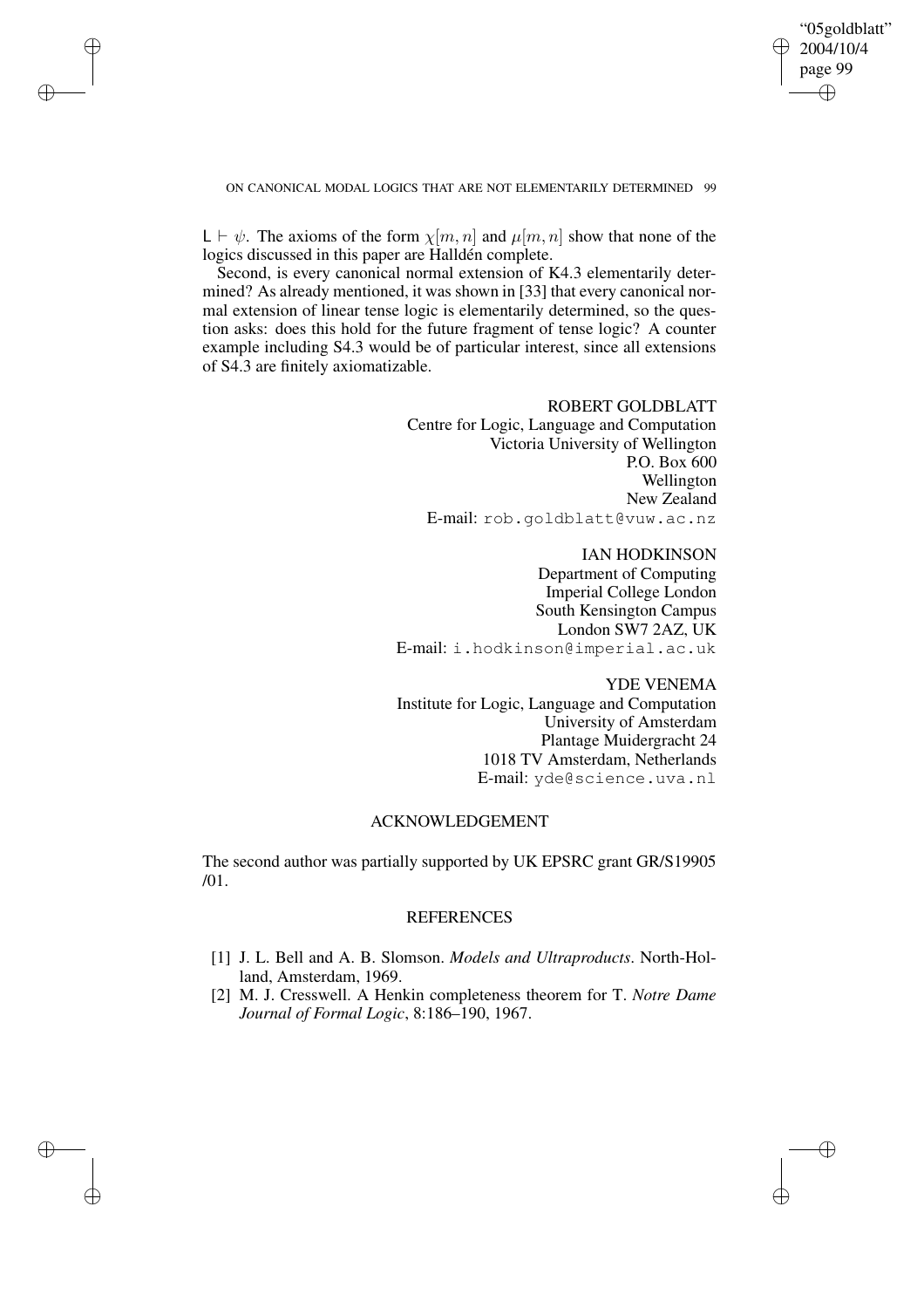✐

#### ON CANONICAL MODAL LOGICS THAT ARE NOT ELEMENTARILY DETERMINED 99

 $\rightarrow$ 

 $\rightarrow$ 

✐

✐

 $L \vdash \psi$ . The axioms of the form  $\chi[m, n]$  and  $\mu[m, n]$  show that none of the logics discussed in this paper are Halldén complete.

Second, is every canonical normal extension of K4.3 elementarily determined? As already mentioned, it was shown in [33] that every canonical normal extension of linear tense logic is elementarily determined, so the question asks: does this hold for the future fragment of tense logic? A counter example including S4.3 would be of particular interest, since all extensions of S4.3 are finitely axiomatizable.

# ROBERT GOLDBLATT

Centre for Logic, Language and Computation Victoria University of Wellington P.O. Box 600 Wellington New Zealand E-mail: rob.goldblatt@vuw.ac.nz

IAN HODKINSON Department of Computing Imperial College London South Kensington Campus London SW7 2AZ, UK E-mail: i.hodkinson@imperial.ac.uk

YDE VENEMA Institute for Logic, Language and Computation University of Amsterdam Plantage Muidergracht 24 1018 TV Amsterdam, Netherlands E-mail: yde@science.uva.nl

# ACKNOWLEDGEMENT

The second author was partially supported by UK EPSRC grant GR/S19905 /01.

## REFERENCES

- [1] J. L. Bell and A. B. Slomson. *Models and Ultraproducts*. North-Holland, Amsterdam, 1969.
- [2] M. J. Cresswell. A Henkin completeness theorem for T. *Notre Dame Journal of Formal Logic*, 8:186–190, 1967.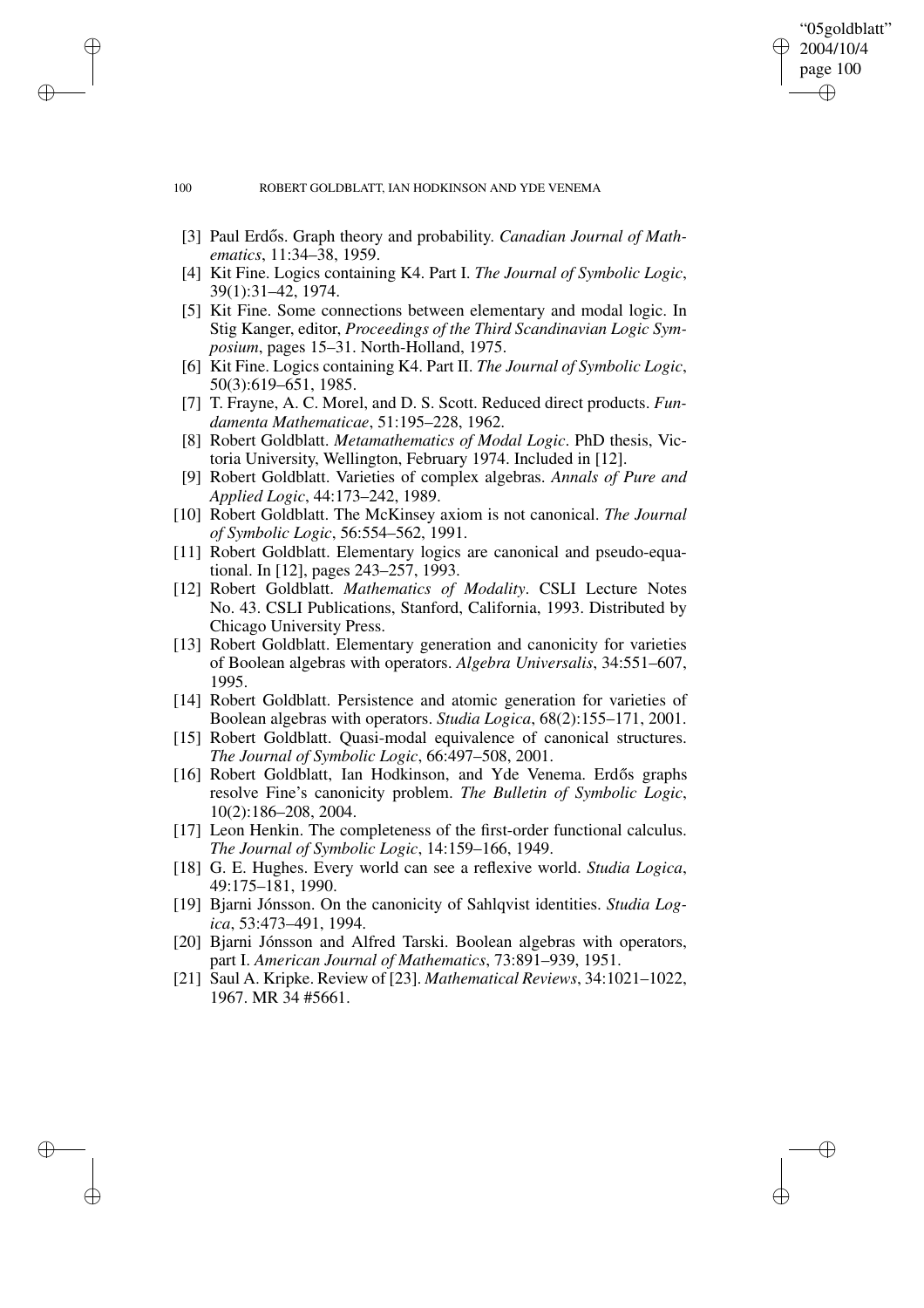#### 100 ROBERT GOLDBLATT, IAN HODKINSON AND YDE VENEMA

[3] Paul Erdős. Graph theory and probability. *Canadian Journal of Mathematics*, 11:34–38, 1959.

"05goldblatt" 2004/10/4 page 100

✐

✐

✐

✐

- [4] Kit Fine. Logics containing K4. Part I. *The Journal of Symbolic Logic*, 39(1):31–42, 1974.
- [5] Kit Fine. Some connections between elementary and modal logic. In Stig Kanger, editor, *Proceedings of the Third Scandinavian Logic Symposium*, pages 15–31. North-Holland, 1975.
- [6] Kit Fine. Logics containing K4. Part II. *The Journal of Symbolic Logic*, 50(3):619–651, 1985.
- [7] T. Frayne, A. C. Morel, and D. S. Scott. Reduced direct products. *Fundamenta Mathematicae*, 51:195–228, 1962.
- [8] Robert Goldblatt. *Metamathematics of Modal Logic*. PhD thesis, Victoria University, Wellington, February 1974. Included in [12].
- [9] Robert Goldblatt. Varieties of complex algebras. *Annals of Pure and Applied Logic*, 44:173–242, 1989.
- [10] Robert Goldblatt. The McKinsey axiom is not canonical. *The Journal of Symbolic Logic*, 56:554–562, 1991.
- [11] Robert Goldblatt. Elementary logics are canonical and pseudo-equational. In [12], pages 243–257, 1993.
- [12] Robert Goldblatt. *Mathematics of Modality*. CSLI Lecture Notes No. 43. CSLI Publications, Stanford, California, 1993. Distributed by Chicago University Press.
- [13] Robert Goldblatt. Elementary generation and canonicity for varieties of Boolean algebras with operators. *Algebra Universalis*, 34:551–607, 1995.
- [14] Robert Goldblatt. Persistence and atomic generation for varieties of Boolean algebras with operators. *Studia Logica*, 68(2):155–171, 2001.
- [15] Robert Goldblatt. Quasi-modal equivalence of canonical structures. *The Journal of Symbolic Logic*, 66:497–508, 2001.
- [16] Robert Goldblatt, Ian Hodkinson, and Yde Venema. Erdős graphs resolve Fine's canonicity problem. *The Bulletin of Symbolic Logic*, 10(2):186–208, 2004.
- [17] Leon Henkin. The completeness of the first-order functional calculus. *The Journal of Symbolic Logic*, 14:159–166, 1949.
- [18] G. E. Hughes. Every world can see a reflexive world. *Studia Logica*, 49:175–181, 1990.
- [19] Bjarni Jónsson. On the canonicity of Sahlqvist identities. *Studia Logica*, 53:473–491, 1994.
- [20] Bjarni Jónsson and Alfred Tarski. Boolean algebras with operators, part I. *American Journal of Mathematics*, 73:891–939, 1951.
- [21] Saul A. Kripke. Review of [23]. *Mathematical Reviews*, 34:1021–1022, 1967. MR 34 #5661.

 $\rightarrow$ 

 $\rightarrow$ 

✐